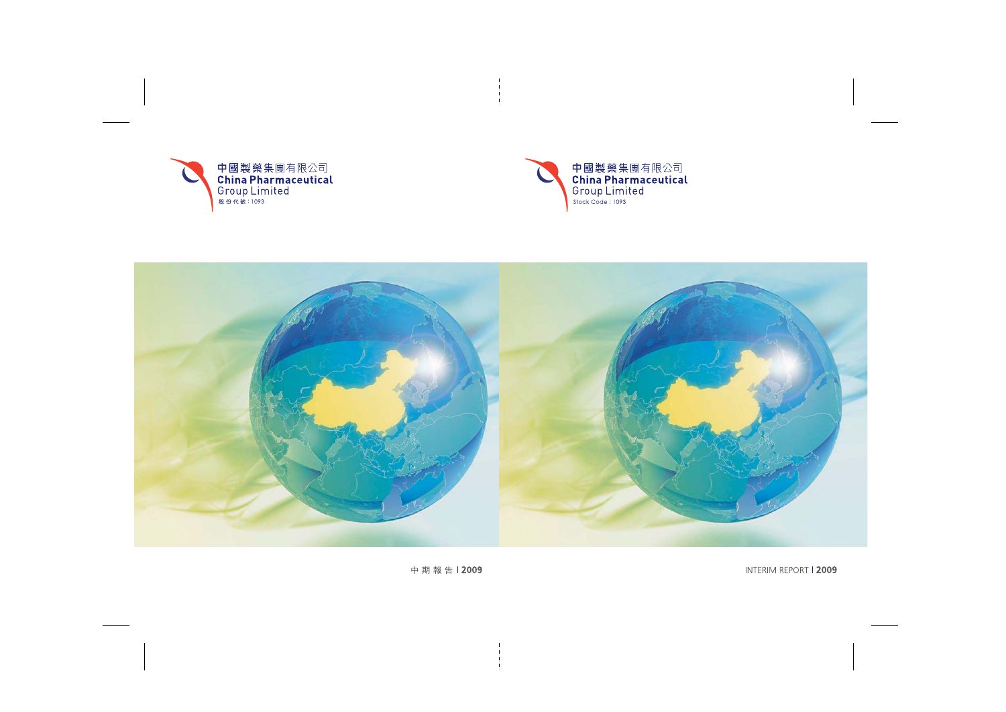



INTERIM REPORT | 2009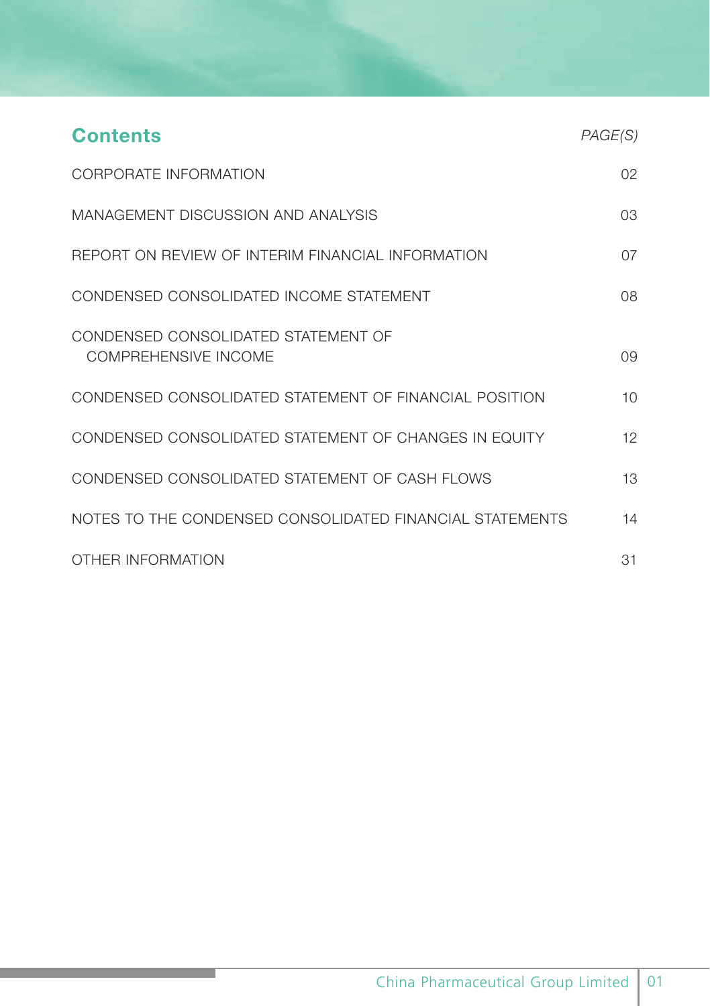| <b>Contents</b>                                             | PAGE(S)         |
|-------------------------------------------------------------|-----------------|
| CORPORATE INFORMATION                                       | 02 <sup>°</sup> |
| MANAGEMENT DISCUSSION AND ANALYSIS                          | 03              |
| REPORT ON REVIEW OF INTERIM FINANCIAL INFORMATION           | 07              |
| CONDENSED CONSOLIDATED INCOME STATEMENT                     | 08              |
| CONDENSED CONSOLIDATED STATEMENT OF<br>COMPREHENSIVE INCOME | 0.9             |
| CONDENSED CONSOLIDATED STATEMENT OF FINANCIAL POSITION      | 10 <sup>1</sup> |
| CONDENSED CONSOLIDATED STATEMENT OF CHANGES IN EQUITY       | 12              |
| CONDENSED CONSOLIDATED STATEMENT OF CASH FLOWS              | 13              |
| NOTES TO THE CONDENSED CONSOLIDATED FINANCIAL STATEMENTS    | 14              |
| OTHER INFORMATION                                           | 31              |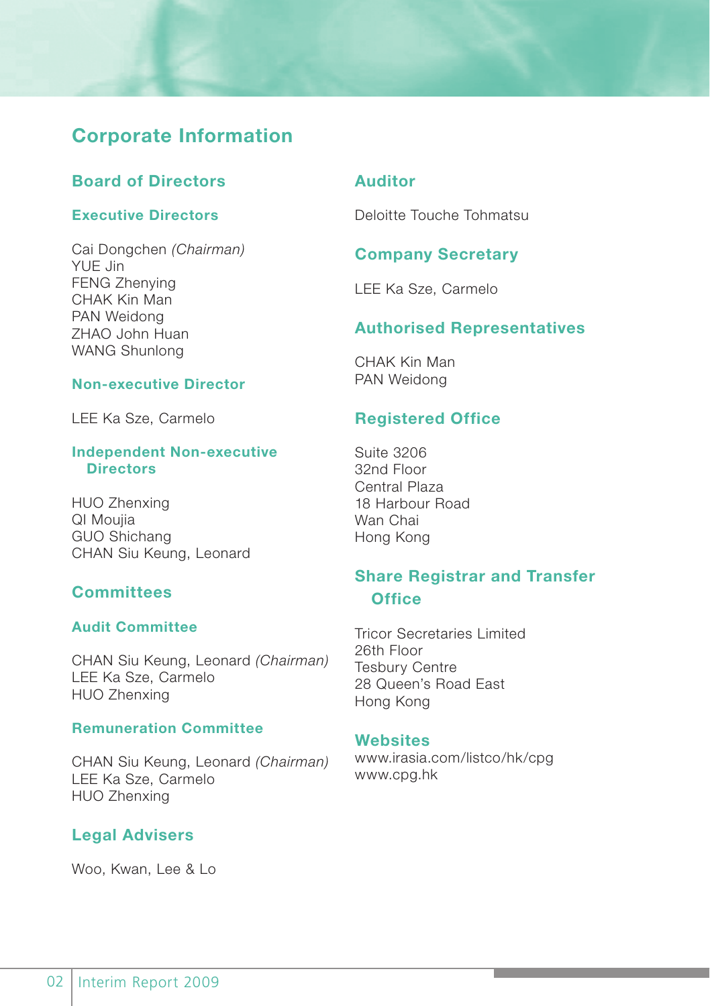# **Corporate Information**

# **Board of Directors**

# **Executive Directors**

Cai Dongchen *(Chairman)* YUE Jin FENG Zhenying CHAK Kin Man PAN Weidong ZHAO John Huan WANG Shunlong

### **Non-executive Director**

LEE Ka Sze, Carmelo

#### **Independent Non-executive Directors**

HUO Zhenxing QI Moujia GUO Shichang CHAN Siu Keung, Leonard

# **Committees**

# **Audit Committee**

CHAN Siu Keung, Leonard *(Chairman)* LEE Ka Sze, Carmelo HUO Zhenxing

### **Remuneration Committee**

CHAN Siu Keung, Leonard *(Chairman)* LEE Ka Sze, Carmelo HUO Zhenxing

# **Legal Advisers**

Woo, Kwan, Lee & Lo

# **Auditor**

Deloitte Touche Tohmatsu

# **Company Secretary**

LEE Ka Sze, Carmelo

# **Authorised Representatives**

CHAK Kin Man PAN Weidong

# **Registered Office**

Suite 3206 32nd Floor Central Plaza 18 Harbour Road Wan Chai Hong Kong

# **Share Registrar and Transfer Office**

Tricor Secretaries Limited 26th Floor Tesbury Centre 28 Queen's Road East Hong Kong

#### **Websites**

www.irasia.com/listco/hk/cpg www.cpg.hk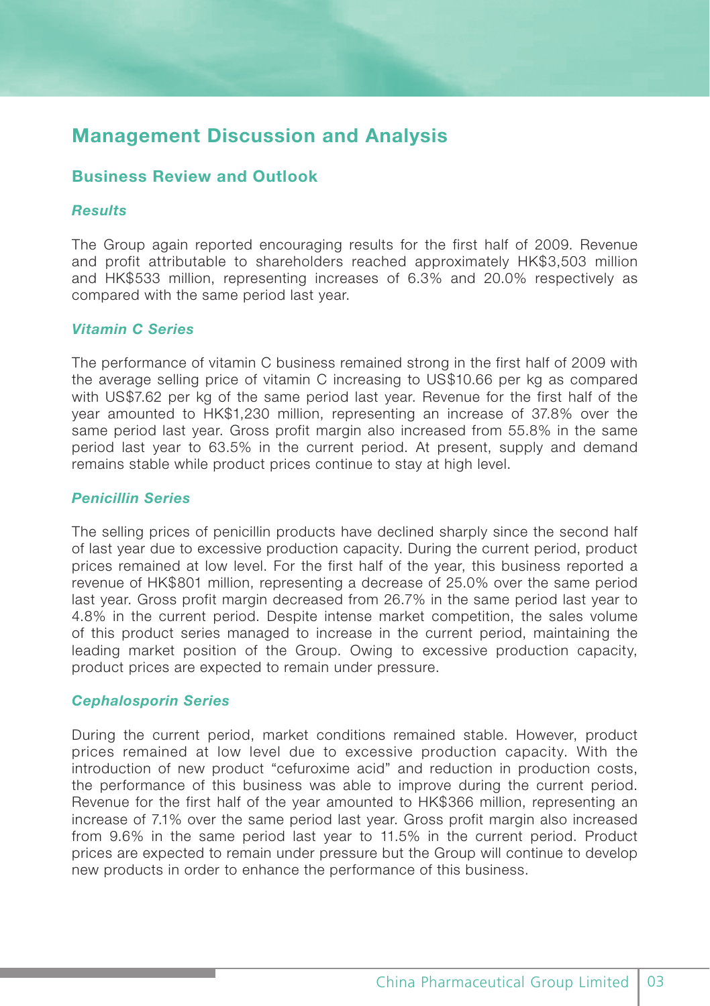# **Management Discussion and Analysis**

# **Business Review and Outlook**

### *Results*

The Group again reported encouraging results for the first half of 2009. Revenue and profit attributable to shareholders reached approximately HK\$3,503 million and HK\$533 million, representing increases of 6.3% and 20.0% respectively as compared with the same period last year.

### *Vitamin C Series*

The performance of vitamin C business remained strong in the first half of 2009 with the average selling price of vitamin C increasing to US\$10.66 per kg as compared with US\$7.62 per kg of the same period last year. Revenue for the first half of the year amounted to HK\$1,230 million, representing an increase of 37.8% over the same period last year. Gross profit margin also increased from 55.8% in the same period last year to 63.5% in the current period. At present, supply and demand remains stable while product prices continue to stay at high level.

# *Penicillin Series*

The selling prices of penicillin products have declined sharply since the second half of last year due to excessive production capacity. During the current period, product prices remained at low level. For the first half of the year, this business reported a revenue of HK\$801 million, representing a decrease of 25.0% over the same period last year. Gross profit margin decreased from 26.7% in the same period last year to 4.8% in the current period. Despite intense market competition, the sales volume of this product series managed to increase in the current period, maintaining the leading market position of the Group. Owing to excessive production capacity, product prices are expected to remain under pressure.

#### *Cephalosporin Series*

During the current period, market conditions remained stable. However, product prices remained at low level due to excessive production capacity. With the introduction of new product "cefuroxime acid" and reduction in production costs, the performance of this business was able to improve during the current period. Revenue for the first half of the year amounted to HK\$366 million, representing an increase of 7.1% over the same period last year. Gross profit margin also increased from 9.6% in the same period last year to 11.5% in the current period. Product prices are expected to remain under pressure but the Group will continue to develop new products in order to enhance the performance of this business.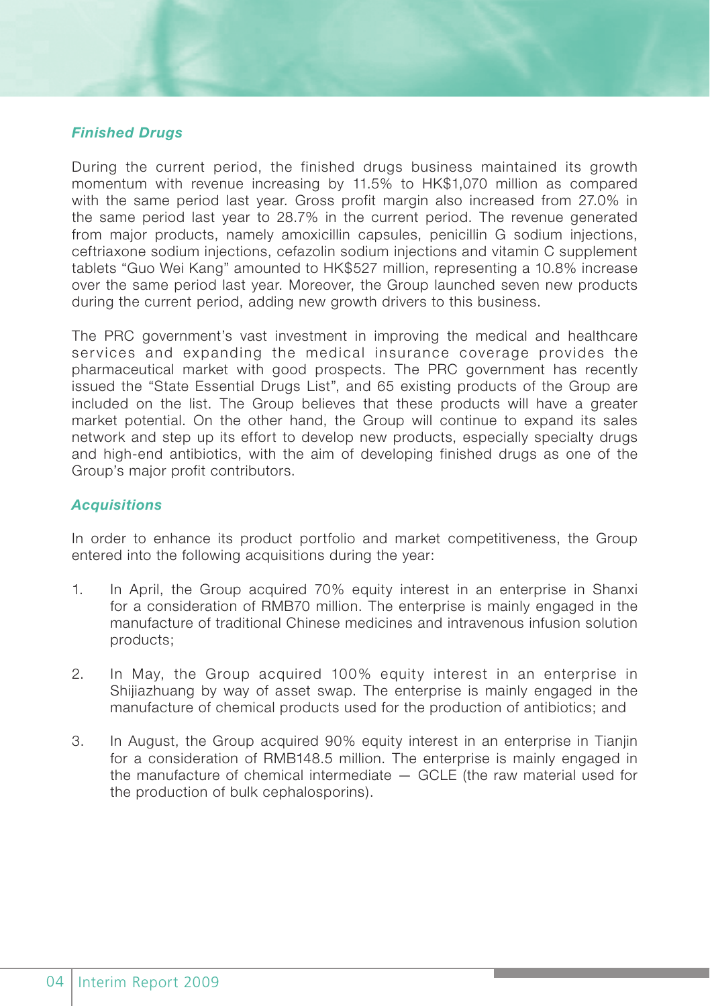### *Finished Drugs*

During the current period, the finished drugs business maintained its growth momentum with revenue increasing by 11.5% to HK\$1,070 million as compared with the same period last year. Gross profit margin also increased from 27.0% in the same period last year to 28.7% in the current period. The revenue generated from major products, namely amoxicillin capsules, penicillin G sodium injections, ceftriaxone sodium injections, cefazolin sodium injections and vitamin C supplement tablets "Guo Wei Kang" amounted to HK\$527 million, representing a 10.8% increase over the same period last year. Moreover, the Group launched seven new products during the current period, adding new growth drivers to this business.

The PRC government's vast investment in improving the medical and healthcare services and expanding the medical insurance coverage provides the pharmaceutical market with good prospects. The PRC government has recently issued the "State Essential Drugs List", and 65 existing products of the Group are included on the list. The Group believes that these products will have a greater market potential. On the other hand, the Group will continue to expand its sales network and step up its effort to develop new products, especially specialty drugs and high-end antibiotics, with the aim of developing finished drugs as one of the Group's major profit contributors.

#### *Acquisitions*

In order to enhance its product portfolio and market competitiveness, the Group entered into the following acquisitions during the year:

- 1. In April, the Group acquired 70% equity interest in an enterprise in Shanxi for a consideration of RMB70 million. The enterprise is mainly engaged in the manufacture of traditional Chinese medicines and intravenous infusion solution products;
- 2. In May, the Group acquired 100% equity interest in an enterprise in Shijiazhuang by way of asset swap. The enterprise is mainly engaged in the manufacture of chemical products used for the production of antibiotics; and
- 3. In August, the Group acquired 90% equity interest in an enterprise in Tianjin for a consideration of RMB148.5 million. The enterprise is mainly engaged in the manufacture of chemical intermediate — GCLE (the raw material used for the production of bulk cephalosporins).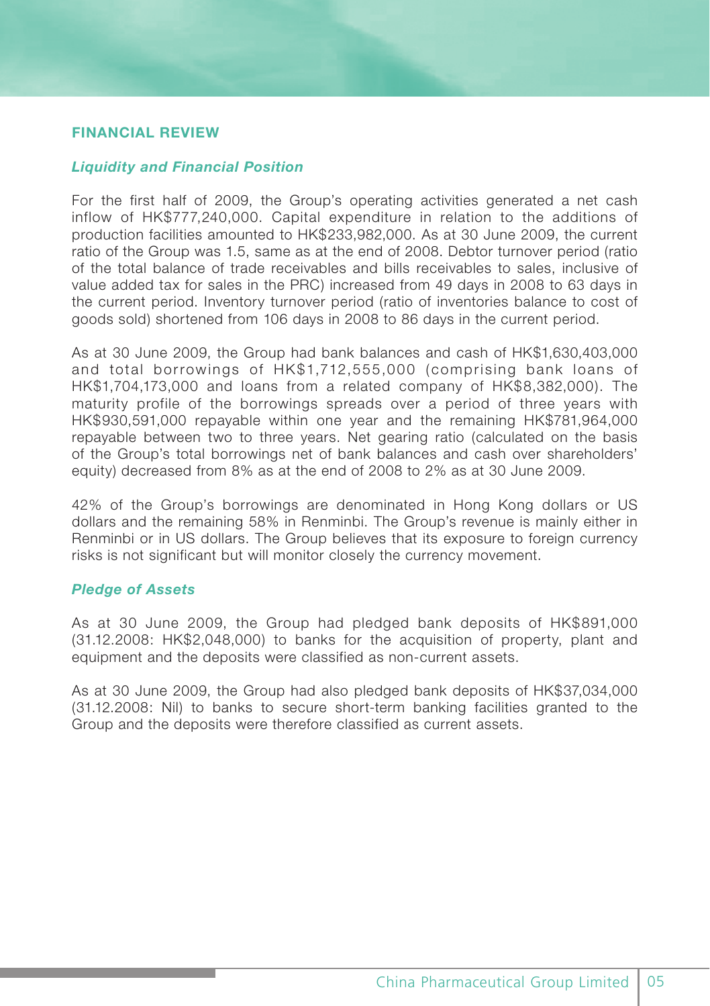# **FINANCIAL REVIEW**

#### *Liquidity and Financial Position*

For the first half of 2009, the Group's operating activities generated a net cash inflow of HK\$777,240,000. Capital expenditure in relation to the additions of production facilities amounted to HK\$233,982,000. As at 30 June 2009, the current ratio of the Group was 1.5, same as at the end of 2008. Debtor turnover period (ratio of the total balance of trade receivables and bills receivables to sales, inclusive of value added tax for sales in the PRC) increased from 49 days in 2008 to 63 days in the current period. Inventory turnover period (ratio of inventories balance to cost of goods sold) shortened from 106 days in 2008 to 86 days in the current period.

As at 30 June 2009, the Group had bank balances and cash of HK\$1,630,403,000 and total borrowings of HK\$1,712,555,000 (comprising bank loans of HK\$1,704,173,000 and loans from a related company of HK\$8,382,000). The maturity profile of the borrowings spreads over a period of three years with HK\$930,591,000 repayable within one year and the remaining HK\$781,964,000 repayable between two to three years. Net gearing ratio (calculated on the basis of the Group's total borrowings net of bank balances and cash over shareholders' equity) decreased from 8% as at the end of 2008 to 2% as at 30 June 2009.

42% of the Group's borrowings are denominated in Hong Kong dollars or US dollars and the remaining 58% in Renminbi. The Group's revenue is mainly either in Renminbi or in US dollars. The Group believes that its exposure to foreign currency risks is not significant but will monitor closely the currency movement.

## *Pledge of Assets*

As at 30 June 2009, the Group had pledged bank deposits of HK\$891,000 (31.12.2008: HK\$2,048,000) to banks for the acquisition of property, plant and equipment and the deposits were classified as non-current assets.

As at 30 June 2009, the Group had also pledged bank deposits of HK\$37,034,000 (31.12.2008: Nil) to banks to secure short-term banking facilities granted to the Group and the deposits were therefore classified as current assets.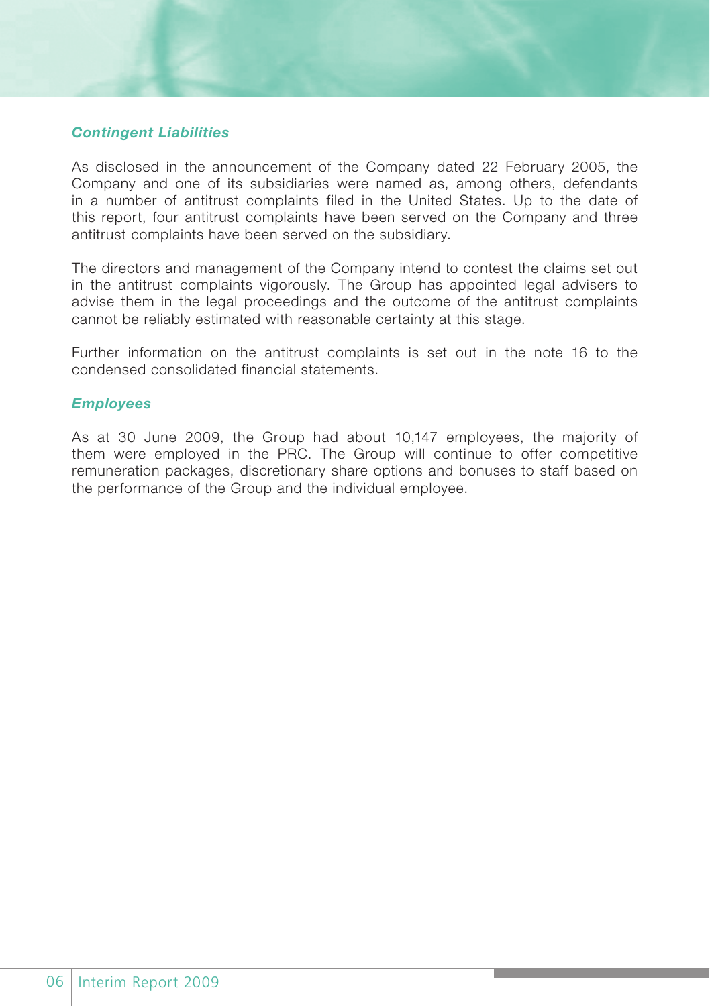# *Contingent Liabilities*

As disclosed in the announcement of the Company dated 22 February 2005, the Company and one of its subsidiaries were named as, among others, defendants in a number of antitrust complaints filed in the United States. Up to the date of this report, four antitrust complaints have been served on the Company and three antitrust complaints have been served on the subsidiary.

The directors and management of the Company intend to contest the claims set out in the antitrust complaints vigorously. The Group has appointed legal advisers to advise them in the legal proceedings and the outcome of the antitrust complaints cannot be reliably estimated with reasonable certainty at this stage.

Further information on the antitrust complaints is set out in the note 16 to the condensed consolidated financial statements.

#### *Employees*

As at 30 June 2009, the Group had about 10,147 employees, the majority of them were employed in the PRC. The Group will continue to offer competitive remuneration packages, discretionary share options and bonuses to staff based on the performance of the Group and the individual employee.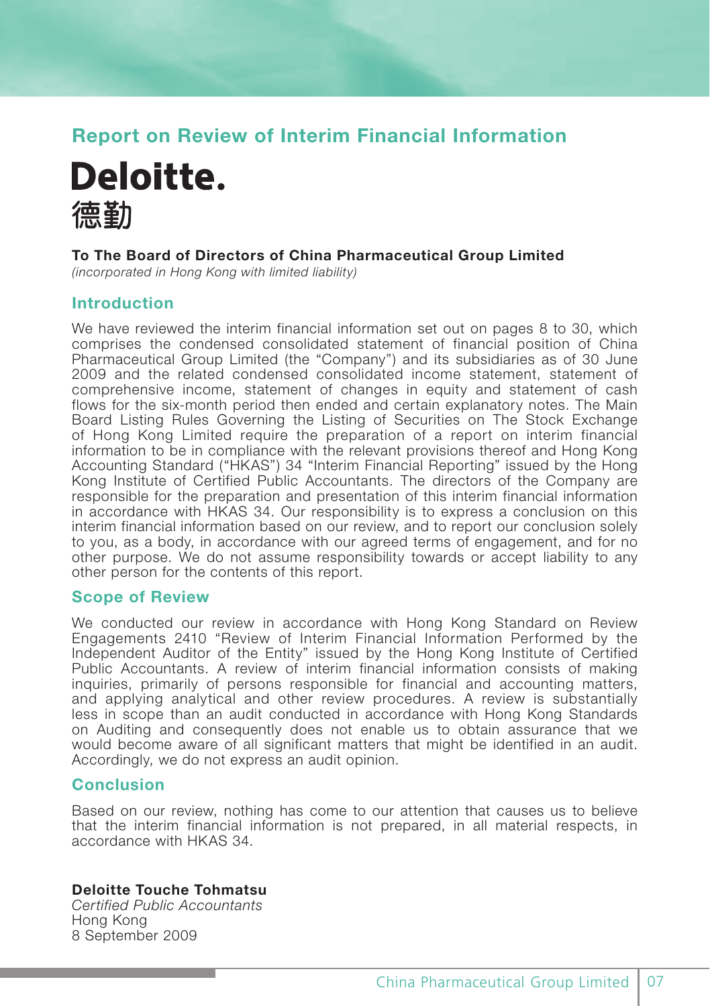# **Report on Review of Interim Financial Information**



### **To The Board of Directors of China Pharmaceutical Group Limited**

*(incorporated in Hong Kong with limited liability)*

# **Introduction**

We have reviewed the interim financial information set out on pages 8 to 30, which comprises the condensed consolidated statement of financial position of China Pharmaceutical Group Limited (the "Company") and its subsidiaries as of 30 June 2009 and the related condensed consolidated income statement, statement of comprehensive income, statement of changes in equity and statement of cash flows for the six-month period then ended and certain explanatory notes. The Main Board Listing Rules Governing the Listing of Securities on The Stock Exchange of Hong Kong Limited require the preparation of a report on interim financial information to be in compliance with the relevant provisions thereof and Hong Kong Accounting Standard ("HKAS") 34 "Interim Financial Reporting" issued by the Hong Kong Institute of Certified Public Accountants. The directors of the Company are responsible for the preparation and presentation of this interim financial information in accordance with HKAS 34. Our responsibility is to express a conclusion on this interim financial information based on our review, and to report our conclusion solely to you, as a body, in accordance with our agreed terms of engagement, and for no other purpose. We do not assume responsibility towards or accept liability to any other person for the contents of this report.

### **Scope of Review**

We conducted our review in accordance with Hong Kong Standard on Review Engagements 2410 "Review of Interim Financial Information Performed by the Independent Auditor of the Entity" issued by the Hong Kong Institute of Certified Public Accountants. A review of interim financial information consists of making inquiries, primarily of persons responsible for financial and accounting matters, and applying analytical and other review procedures. A review is substantially less in scope than an audit conducted in accordance with Hong Kong Standards on Auditing and consequently does not enable us to obtain assurance that we would become aware of all significant matters that might be identified in an audit. Accordingly, we do not express an audit opinion.

# **Conclusion**

Based on our review, nothing has come to our attention that causes us to believe that the interim financial information is not prepared, in all material respects, in accordance with HKAS 34.

### **Deloitte Touche Tohmatsu**

*Certified Public Accountants* Hong Kong 8 September 2009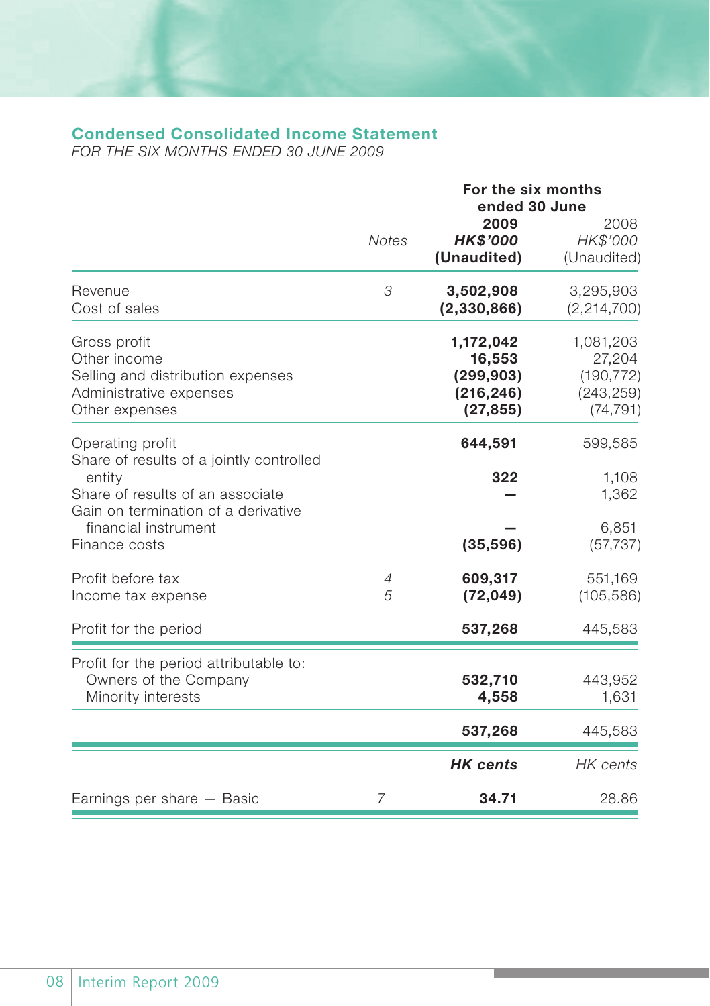# **Condensed Consolidated Income Statement**

*FOR THE SIX MONTHS ENDED 30 JUNE 2009*

|                                                                                                                            |                     | For the six months<br>ended 30 June                          |                                                              |  |  |
|----------------------------------------------------------------------------------------------------------------------------|---------------------|--------------------------------------------------------------|--------------------------------------------------------------|--|--|
|                                                                                                                            | <b>Notes</b>        | 2009<br><b>HK\$'000</b><br>(Unaudited)                       | 2008<br>HK\$'000<br>(Unaudited)                              |  |  |
| Revenue<br>Cost of sales                                                                                                   | 3                   | 3,502,908<br>(2,330,866)                                     | 3,295,903<br>(2, 214, 700)                                   |  |  |
| Gross profit<br>Other income<br>Selling and distribution expenses<br>Administrative expenses<br>Other expenses             |                     | 1,172,042<br>16,553<br>(299, 903)<br>(216, 246)<br>(27, 855) | 1,081,203<br>27,204<br>(190, 772)<br>(243, 259)<br>(74, 791) |  |  |
| Operating profit<br>Share of results of a jointly controlled                                                               |                     | 644,591<br>322                                               | 599,585                                                      |  |  |
| entity<br>Share of results of an associate<br>Gain on termination of a derivative<br>financial instrument<br>Finance costs |                     | (35, 596)                                                    | 1,108<br>1,362<br>6,851<br>(57, 737)                         |  |  |
| Profit before tax<br>Income tax expense                                                                                    | $\overline{4}$<br>5 | 609,317<br>(72, 049)                                         | 551,169<br>(105, 586)                                        |  |  |
| Profit for the period                                                                                                      |                     | 537,268                                                      | 445,583                                                      |  |  |
| Profit for the period attributable to:<br>Owners of the Company<br>Minority interests                                      |                     | 532,710<br>4,558                                             | 443,952<br>1,631                                             |  |  |
|                                                                                                                            |                     | 537,268                                                      | 445,583                                                      |  |  |
|                                                                                                                            |                     | <b>HK</b> cents                                              | HK cents                                                     |  |  |
| Earnings per share – Basic                                                                                                 | $\overline{7}$      | 34.71                                                        | 28.86                                                        |  |  |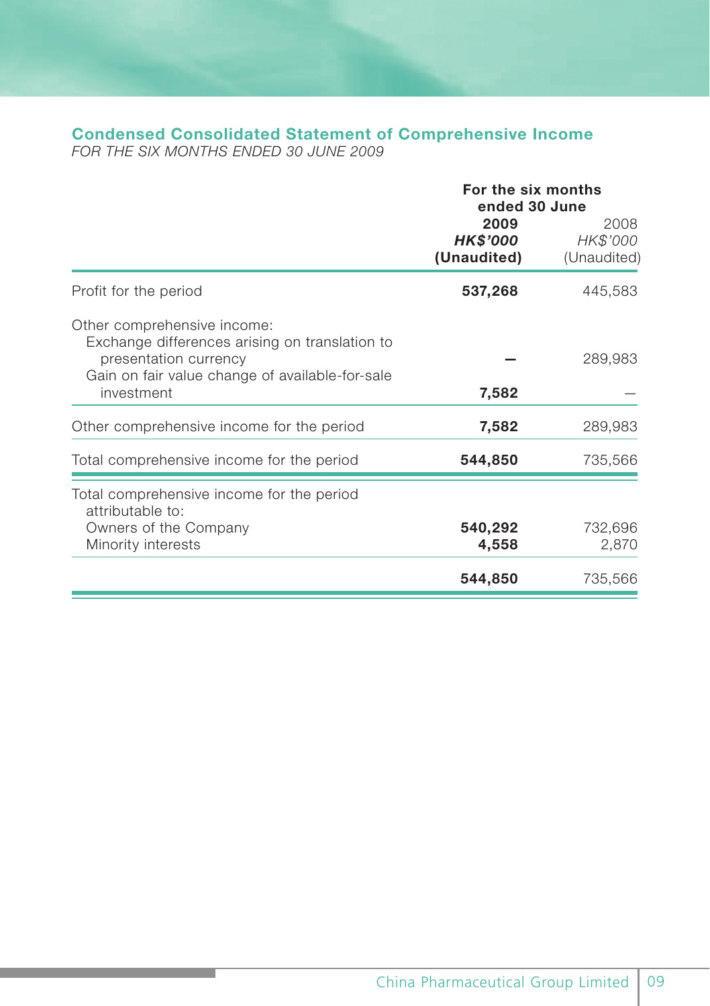# **Condensed Consolidated Statement of Comprehensive Income**

*FOR THE SIX MONTHS ENDED 30 JUNE 2009*

|                                                                                                                                                                         | For the six months<br>ended 30 June |                                 |  |
|-------------------------------------------------------------------------------------------------------------------------------------------------------------------------|-------------------------------------|---------------------------------|--|
|                                                                                                                                                                         | 2009<br>HK\$'000<br>(Unaudited)     | 2008<br>HK\$'000<br>(Unaudited) |  |
| Profit for the period                                                                                                                                                   | 537,268                             | 445,583                         |  |
| Other comprehensive income:<br>Exchange differences arising on translation to<br>presentation currency<br>Gain on fair value change of available-for-sale<br>investment | 7,582                               | 289,983                         |  |
| Other comprehensive income for the period                                                                                                                               | 7,582                               | 289,983                         |  |
| Total comprehensive income for the period                                                                                                                               | 544,850                             | 735,566                         |  |
| Total comprehensive income for the period<br>attributable to:<br>Owners of the Company<br>Minority interests                                                            | 540,292<br>4,558                    | 732,696<br>2,870                |  |
|                                                                                                                                                                         | 544,850                             | 735,566                         |  |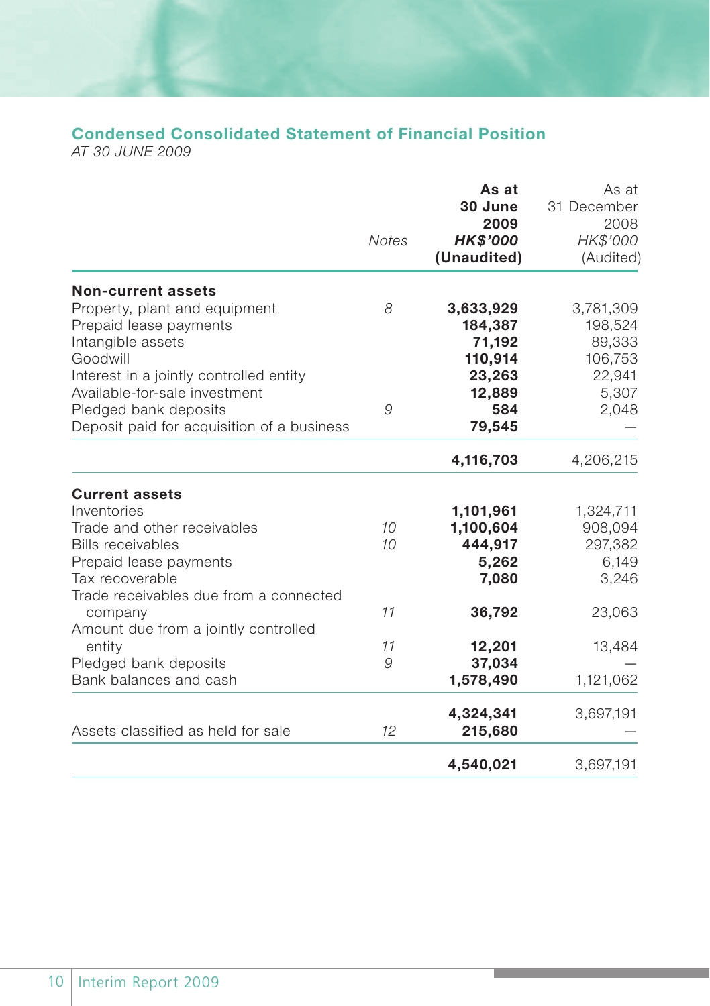# **Condensed Consolidated Statement of Financial Position**

*AT 30 JUNE 2009*

|                                                                                                                                    | <b>Notes</b> | As at<br>30 June<br>2009<br><b>HK\$'000</b><br>(Unaudited) | As at<br>31 December<br>2008<br>HK\$'000<br>(Audited) |
|------------------------------------------------------------------------------------------------------------------------------------|--------------|------------------------------------------------------------|-------------------------------------------------------|
| <b>Non-current assets</b><br>Property, plant and equipment<br>Prepaid lease payments                                               | 8            | 3,633,929<br>184,387                                       | 3,781,309<br>198,524                                  |
| Intangible assets<br>Goodwill<br>Interest in a jointly controlled entity<br>Available-for-sale investment<br>Pledged bank deposits | 9            | 71,192<br>110,914<br>23,263<br>12,889<br>584               | 89,333<br>106,753<br>22,941<br>5,307                  |
| Deposit paid for acquisition of a business                                                                                         |              | 79,545                                                     | 2,048                                                 |
|                                                                                                                                    |              | 4,116,703                                                  | 4,206,215                                             |
| <b>Current assets</b><br>Inventories                                                                                               |              | 1,101,961                                                  | 1,324,711                                             |
| Trade and other receivables<br><b>Bills receivables</b><br>Prepaid lease payments                                                  | 10<br>10     | 1,100,604<br>444,917<br>5,262                              | 908,094<br>297,382<br>6,149                           |
| Tax recoverable<br>Trade receivables due from a connected                                                                          |              | 7,080                                                      | 3,246                                                 |
| company<br>Amount due from a jointly controlled                                                                                    | 11           | 36,792                                                     | 23,063                                                |
| entity<br>Pledged bank deposits<br>Bank balances and cash                                                                          | 11<br>9      | 12,201<br>37,034<br>1,578,490                              | 13,484<br>1,121,062                                   |
| Assets classified as held for sale                                                                                                 | 12           | 4,324,341<br>215,680                                       | 3,697,191                                             |
|                                                                                                                                    |              | 4,540,021                                                  | 3,697,191                                             |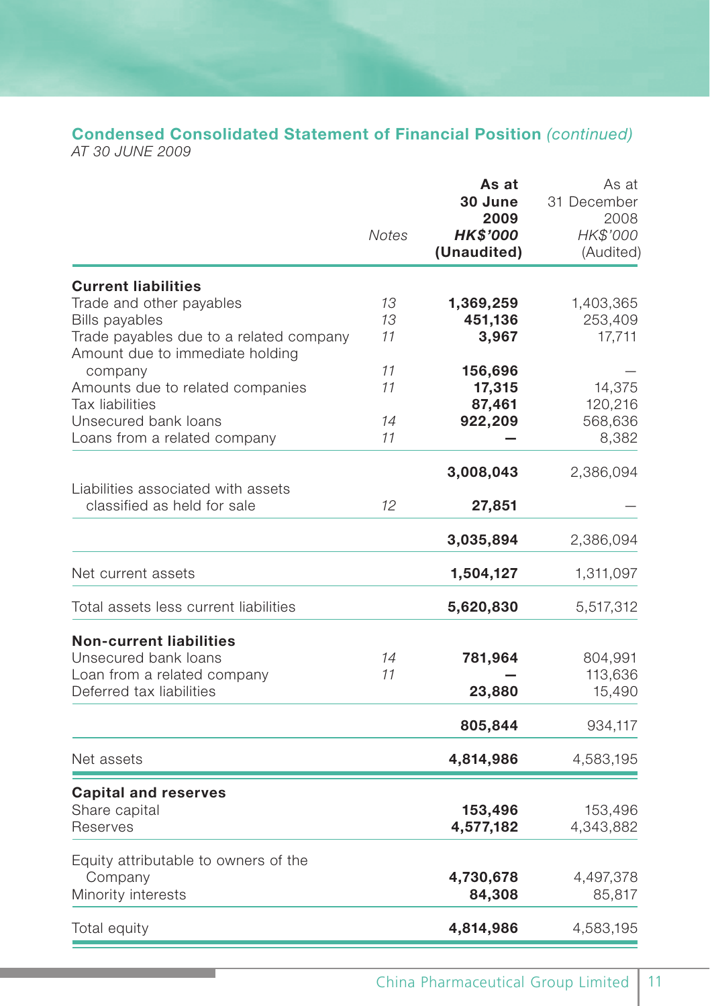# **Condensed Consolidated Statement of Financial Position** *(continued)*

*AT 30 JUNE 2009*

|                                                                                                                                 | Notes          | As at<br>30 June<br>2009<br><b>HK\$'000</b><br>(Unaudited) | As at<br>31 December<br>2008<br>HK\$'000<br>(Audited) |
|---------------------------------------------------------------------------------------------------------------------------------|----------------|------------------------------------------------------------|-------------------------------------------------------|
| <b>Current liabilities</b>                                                                                                      |                |                                                            |                                                       |
| Trade and other payables<br><b>Bills payables</b><br>Trade payables due to a related company<br>Amount due to immediate holding | 13<br>13<br>11 | 1,369,259<br>451,136<br>3,967                              | 1,403,365<br>253,409<br>17,711                        |
| company                                                                                                                         | 11             | 156,696                                                    |                                                       |
| Amounts due to related companies<br>Tax liabilities                                                                             | 11             | 17,315<br>87,461                                           | 14,375<br>120,216                                     |
| Unsecured bank loans<br>Loans from a related company                                                                            | 14<br>11       | 922,209                                                    | 568,636<br>8,382                                      |
|                                                                                                                                 |                | 3,008,043                                                  | 2,386,094                                             |
| Liabilities associated with assets<br>classified as held for sale                                                               | 12             | 27,851                                                     |                                                       |
|                                                                                                                                 |                | 3,035,894                                                  | 2,386,094                                             |
| Net current assets                                                                                                              |                | 1,504,127                                                  | 1,311,097                                             |
| Total assets less current liabilities                                                                                           |                | 5,620,830                                                  | 5,517,312                                             |
| <b>Non-current liabilities</b><br>Unsecured bank loans<br>Loan from a related company<br>Deferred tax liabilities               | 14<br>11       | 781,964<br>23,880                                          | 804,991<br>113,636<br>15,490                          |
|                                                                                                                                 |                | 805,844                                                    | 934,117                                               |
| Net assets                                                                                                                      |                | 4,814,986                                                  | 4,583,195                                             |
| <b>Capital and reserves</b><br>Share capital<br>Reserves                                                                        |                | 153,496<br>4,577,182                                       | 153,496<br>4,343,882                                  |
| Equity attributable to owners of the<br>Company<br>Minority interests                                                           |                | 4,730,678<br>84,308                                        | 4,497,378<br>85,817                                   |
| Total equity                                                                                                                    |                | 4,814,986                                                  | 4,583,195                                             |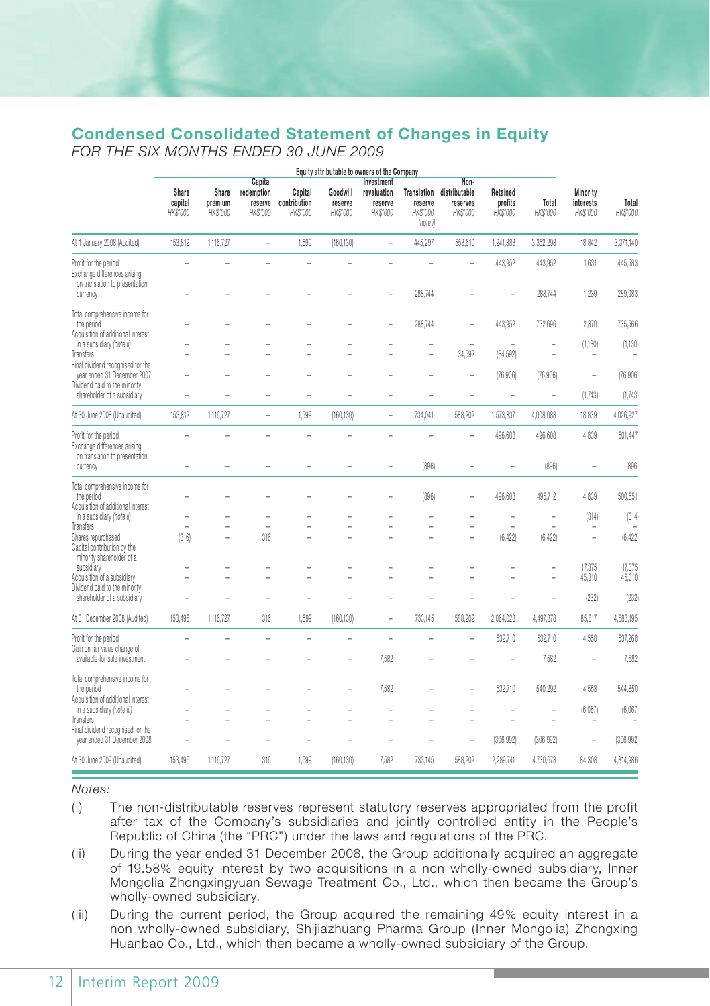# **Condensed Consolidated Statement of Changes in Equity**

*FOR THE SIX MONTHS ENDED 30 JUNE 2009*

|                                                                                                     | Equity attributable to owners of the Company |                              |                                              |                                     |                                 |                                                  |                                                |                                               |                                 |                    |                                   |                    |
|-----------------------------------------------------------------------------------------------------|----------------------------------------------|------------------------------|----------------------------------------------|-------------------------------------|---------------------------------|--------------------------------------------------|------------------------------------------------|-----------------------------------------------|---------------------------------|--------------------|-----------------------------------|--------------------|
|                                                                                                     | Share<br>capital<br>HK\$'000                 | Share<br>premium<br>HK\$'000 | Capital<br>redemption<br>reserve<br>HK\$'000 | Capital<br>contribution<br>HK\$'000 | Goodwill<br>reserve<br>HK\$'000 | Investment<br>revaluation<br>reserve<br>HK\$'000 | Translation<br>reserve<br>HK\$'000<br>(note i) | Non-<br>distributable<br>reserves<br>HK\$'000 | Retained<br>profits<br>HK\$'000 | Total<br>HK\$'000  | Minority<br>interests<br>HK\$'000 | Total<br>HK\$'000  |
| At 1 January 2008 (Audited)                                                                         | 153,812                                      | 1,116,727                    | $\overline{a}$                               | 1,599                               | (160, 130)                      | $\overline{a}$                                   | 445,297                                        | 553,610                                       | 1,241,383                       | 3,352,298          | 18,842                            | 3,371,140          |
| Profit for the period<br>Exchange differences arising<br>on translation to presentation<br>currency |                                              |                              |                                              |                                     |                                 |                                                  | 288,744                                        |                                               | 443,952                         | 443,952<br>288,744 | 1,631<br>1,239                    | 445,583<br>289,983 |
| Total comprehensive income for<br>the period<br>Acquisition of additional interest                  |                                              |                              |                                              |                                     |                                 |                                                  | 288,744                                        | ÷                                             | 443,952                         | 732,696            | 2,870                             | 735,566            |
| in a subsidiary (note ii)<br>Transfers                                                              |                                              |                              |                                              |                                     |                                 |                                                  | ä,                                             | 34,592                                        | ÷<br>(34, 592)                  | L.                 | (1, 130)                          | (1, 130)           |
| Final dividend recognised for the<br>year ended 31 December 2007<br>Dividend paid to the minority   |                                              |                              |                                              |                                     |                                 |                                                  |                                                | ÷                                             | (76,906)                        | (76,906)           | $\overline{\phantom{a}}$          | (76,906)           |
| shareholder of a subsidiary                                                                         |                                              |                              |                                              |                                     |                                 |                                                  |                                                |                                               | L,                              | ÷,                 | (1,743)                           | (1,743)            |
| At 30 June 2008 (Unaudited)                                                                         | 153,812                                      | 1,116,727                    | $\overline{a}$                               | 1,599                               | (160, 130)                      | $\overline{a}$                                   | 734,041                                        | 588,202                                       | 1,573,837                       | 4,008,088          | 18,839                            | 4,026,927          |
| Profit for the period<br>Exchange differences arising<br>on translation to presentation             | L.                                           |                              |                                              | L.                                  |                                 | L,                                               | L,                                             | L.                                            | 496,608                         | 496,608            | 4,839                             | 501,447            |
| currency                                                                                            |                                              |                              |                                              |                                     |                                 |                                                  | (896)                                          |                                               |                                 | (896)              |                                   | (896)              |
| Total comprehensive income for<br>the period<br>Acquisition of additional interest                  |                                              |                              |                                              |                                     |                                 |                                                  | (896)                                          |                                               | 496,608                         | 495,712            | 4,839                             | 500,551            |
| in a subsidiary (note ii)<br>Transfers                                                              | ÷                                            | $\sim$                       | L,                                           |                                     | L,                              | L,                                               | ۰<br>L.                                        | ÷                                             | L,<br>$\overline{\phantom{a}}$  | ÷<br>$\equiv$      | (314)                             | (314)              |
| Shares repurchased<br>Capital contribution by the<br>minority shareholder of a                      | (316)                                        | ÷                            | 316                                          |                                     | L.                              | L.                                               | ۳                                              | ۰                                             | (6, 422)                        | (6, 422)           | L.                                | (6, 422)           |
| subsidiary<br>Acquisition of a subsidiary                                                           |                                              |                              | ۳                                            |                                     |                                 |                                                  |                                                |                                               |                                 |                    | 17,375<br>45,310                  | 17.375<br>45.310   |
| Dividend paid to the minority<br>shareholder of a subsidiary                                        | ÷                                            |                              | ۳                                            | ۳                                   |                                 | ۰                                                | ۰                                              |                                               |                                 | ÷                  | (232)                             | (232)              |
| At 31 December 2008 (Audited)                                                                       | 153,496                                      | 1,116,727                    | 316                                          | 1,599                               | (160, 130)                      | $\overline{a}$                                   | 733,145                                        | 588,202                                       | 2,064,023                       | 4,497,378          | 85,817                            | 4,583,195          |
| Profit for the period                                                                               | L.                                           |                              | ۳                                            | L.                                  |                                 | L.                                               | ÷                                              | ÷                                             | 532.710                         | 532,710            | 4,558                             | 537,268            |
| Gain on fair value change of<br>available-for-sale investment                                       | ÷                                            | $\sim$                       | ۳                                            | ÷                                   | ÷                               | 7.582                                            | ÷                                              | ÷                                             | $\overline{a}$                  | 7.582              | $\overline{\phantom{a}}$          | 7.582              |
| Total comprehensive income for<br>the period<br>Acquisition of additional interest                  |                                              |                              |                                              |                                     | ۰                               | 7.582                                            |                                                |                                               | 532.710                         | 540,292            | 4,558                             | 544,850            |
| in a subsidiary (note iii)<br>Transfers                                                             |                                              |                              |                                              |                                     |                                 |                                                  |                                                |                                               |                                 |                    | (6,067)                           | (6,067)            |
| Final dividend recognised for the<br>year ended 31 December 2008                                    |                                              |                              |                                              |                                     |                                 |                                                  |                                                |                                               | (306, 992)                      | (306, 992)         | $\overline{\phantom{0}}$          | (306, 992)         |
| At 30 June 2009 (Unaudited)                                                                         | 153,496                                      | 1,116,727                    | 316                                          | 1,599                               | (160, 130)                      | 7,582                                            | 733,145                                        | 588,202                                       | 2,289,741                       | 4,730,678          | 84,308                            | 4,814,986          |

*Notes:*

- (i) The non-distributable reserves represent statutory reserves appropriated from the profit after tax of the Company's subsidiaries and jointly controlled entity in the People's Republic of China (the "PRC") under the laws and regulations of the PRC.
- (ii) During the year ended 31 December 2008, the Group additionally acquired an aggregate of 19.58% equity interest by two acquisitions in a non wholly-owned subsidiary, Inner Mongolia Zhongxingyuan Sewage Treatment Co., Ltd., which then became the Group's wholly-owned subsidiary.
- (iii) During the current period, the Group acquired the remaining 49% equity interest in a non wholly-owned subsidiary, Shijiazhuang Pharma Group (Inner Mongolia) Zhongxing Huanbao Co., Ltd., which then became a wholly-owned subsidiary of the Group.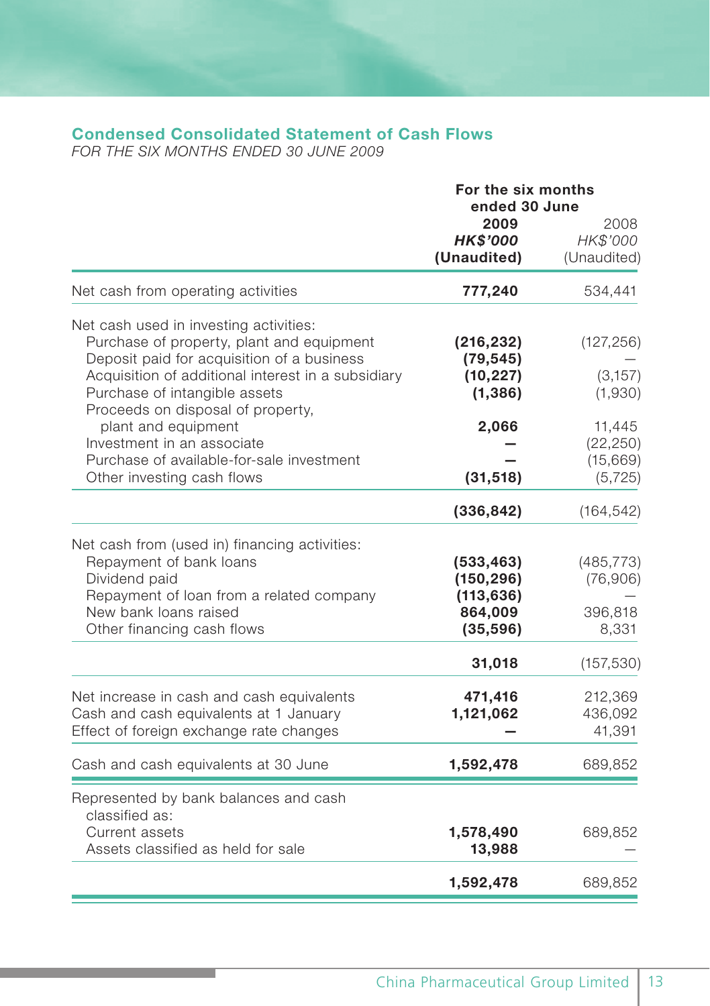# **Condensed Consolidated Statement of Cash Flows**

*FOR THE SIX MONTHS ENDED 30 JUNE 2009*

|                                                                                                                                | For the six months<br>ended 30 June    |                                 |  |  |
|--------------------------------------------------------------------------------------------------------------------------------|----------------------------------------|---------------------------------|--|--|
|                                                                                                                                | 2009<br><b>HK\$'000</b><br>(Unaudited) | 2008<br>HK\$'000<br>(Unaudited) |  |  |
| Net cash from operating activities                                                                                             | 777,240                                | 534,441                         |  |  |
| Net cash used in investing activities:                                                                                         |                                        |                                 |  |  |
| Purchase of property, plant and equipment<br>Deposit paid for acquisition of a business                                        | (216, 232)<br>(79, 545)                | (127, 256)                      |  |  |
| Acquisition of additional interest in a subsidiary                                                                             | (10, 227)                              | (3, 157)                        |  |  |
| Purchase of intangible assets<br>Proceeds on disposal of property,                                                             | (1, 386)                               | (1,930)                         |  |  |
| plant and equipment                                                                                                            | 2,066                                  | 11,445                          |  |  |
| Investment in an associate                                                                                                     |                                        | (22, 250)                       |  |  |
| Purchase of available-for-sale investment<br>Other investing cash flows                                                        | (31, 518)                              | (15, 669)<br>(5, 725)           |  |  |
|                                                                                                                                | (336, 842)                             | (164, 542)                      |  |  |
| Net cash from (used in) financing activities:<br>Repayment of bank loans<br>Dividend paid                                      | (533, 463)<br>(150, 296)               | (485, 773)<br>(76,906)          |  |  |
| Repayment of loan from a related company<br>New bank loans raised<br>Other financing cash flows                                | (113, 636)<br>864,009<br>(35, 596)     | 396,818<br>8,331                |  |  |
|                                                                                                                                | 31,018                                 | (157, 530)                      |  |  |
| Net increase in cash and cash equivalents<br>Cash and cash equivalents at 1 January<br>Effect of foreign exchange rate changes | 471,416<br>1,121,062                   | 212,369<br>436,092<br>41,391    |  |  |
| Cash and cash equivalents at 30 June                                                                                           | 1,592,478                              | 689,852                         |  |  |
| Represented by bank balances and cash                                                                                          |                                        |                                 |  |  |
| classified as:<br>Current assets<br>Assets classified as held for sale                                                         | 1,578,490<br>13,988                    | 689,852                         |  |  |
|                                                                                                                                | 1,592,478                              | 689,852                         |  |  |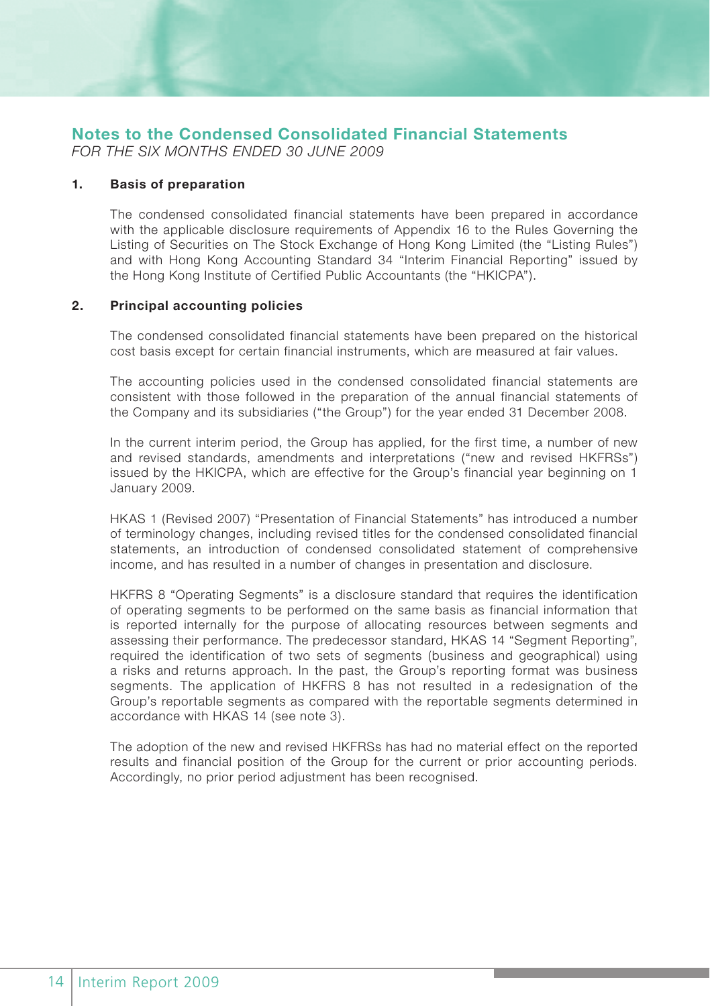# **Notes to the Condensed Consolidated Financial Statements**

*FOR THE SIX MONTHS ENDED 30 JUNE 2009*

#### **1. Basis of preparation**

The condensed consolidated financial statements have been prepared in accordance with the applicable disclosure requirements of Appendix 16 to the Rules Governing the Listing of Securities on The Stock Exchange of Hong Kong Limited (the "Listing Rules") and with Hong Kong Accounting Standard 34 "Interim Financial Reporting" issued by the Hong Kong Institute of Certified Public Accountants (the "HKICPA").

#### **2. Principal accounting policies**

The condensed consolidated financial statements have been prepared on the historical cost basis except for certain financial instruments, which are measured at fair values.

The accounting policies used in the condensed consolidated financial statements are consistent with those followed in the preparation of the annual financial statements of the Company and its subsidiaries ("the Group") for the year ended 31 December 2008.

In the current interim period, the Group has applied, for the first time, a number of new and revised standards, amendments and interpretations ("new and revised HKFRSs") issued by the HKICPA, which are effective for the Group's financial year beginning on 1 January 2009.

HKAS 1 (Revised 2007) "Presentation of Financial Statements" has introduced a number of terminology changes, including revised titles for the condensed consolidated financial statements, an introduction of condensed consolidated statement of comprehensive income, and has resulted in a number of changes in presentation and disclosure.

HKFRS 8 "Operating Segments" is a disclosure standard that requires the identification of operating segments to be performed on the same basis as financial information that is reported internally for the purpose of allocating resources between segments and assessing their performance. The predecessor standard, HKAS 14 "Segment Reporting", required the identification of two sets of segments (business and geographical) using a risks and returns approach. In the past, the Group's reporting format was business segments. The application of HKFRS 8 has not resulted in a redesignation of the Group's reportable segments as compared with the reportable segments determined in accordance with HKAS 14 (see note 3).

The adoption of the new and revised HKFRSs has had no material effect on the reported results and financial position of the Group for the current or prior accounting periods. Accordingly, no prior period adjustment has been recognised.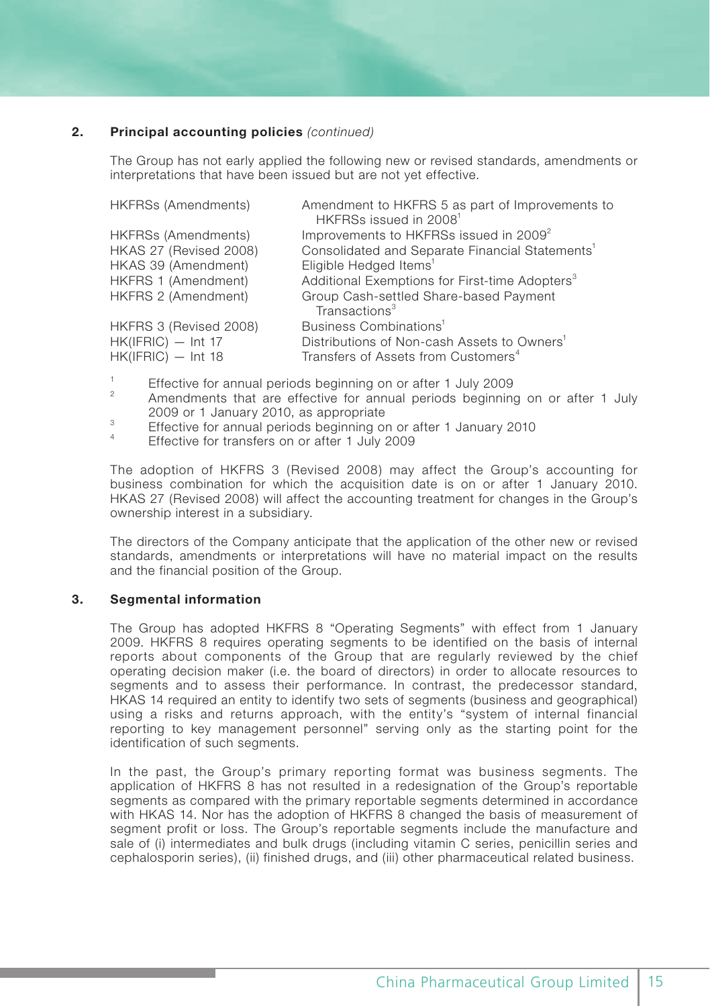#### **2. Principal accounting policies** *(continued)*

The Group has not early applied the following new or revised standards, amendments or interpretations that have been issued but are not yet effective.

| HKFRSs (Amendments)        | Amendment to HKFRS 5 as part of Improvements to                     |
|----------------------------|---------------------------------------------------------------------|
|                            | HKFRSs issued in 2008 <sup>1</sup>                                  |
| <b>HKFRSs (Amendments)</b> | Improvements to HKFRSs issued in 2009 <sup>2</sup>                  |
| HKAS 27 (Revised 2008)     | Consolidated and Separate Financial Statements <sup>1</sup>         |
| HKAS 39 (Amendment)        | Eligible Hedged Items <sup>1</sup>                                  |
| HKFRS 1 (Amendment)        | Additional Exemptions for First-time Adopters <sup>3</sup>          |
| HKFRS 2 (Amendment)        | Group Cash-settled Share-based Payment<br>Transactions <sup>3</sup> |
| HKFRS 3 (Revised 2008)     | Business Combinations <sup>1</sup>                                  |
|                            |                                                                     |
| $HK(IFRIC) - Int 17$       | Distributions of Non-cash Assets to Owners <sup>1</sup>             |
| $HK(IFRIC) - Int 18$       | Transfers of Assets from Customers <sup>4</sup>                     |

- 1 Effective for annual periods beginning on or after 1 July 2009
- $\overline{2}$  Amendments that are effective for annual periods beginning on or after 1 July 2009 or 1 January 2010, as appropriate
- Effective for annual periods beginning on or after 1 January 2010 4
- Effective for transfers on or after 1 July 2009

The adoption of HKFRS 3 (Revised 2008) may affect the Group's accounting for business combination for which the acquisition date is on or after 1 January 2010. HKAS 27 (Revised 2008) will affect the accounting treatment for changes in the Group's ownership interest in a subsidiary.

The directors of the Company anticipate that the application of the other new or revised standards, amendments or interpretations will have no material impact on the results and the financial position of the Group.

#### **3. Segmental information**

The Group has adopted HKFRS 8 "Operating Segments" with effect from 1 January 2009. HKFRS 8 requires operating segments to be identified on the basis of internal reports about components of the Group that are regularly reviewed by the chief operating decision maker (i.e. the board of directors) in order to allocate resources to segments and to assess their performance. In contrast, the predecessor standard, HKAS 14 required an entity to identify two sets of segments (business and geographical) using a risks and returns approach, with the entity's "system of internal financial reporting to key management personnel" serving only as the starting point for the identification of such segments.

In the past, the Group's primary reporting format was business segments. The application of HKFRS 8 has not resulted in a redesignation of the Group's reportable segments as compared with the primary reportable segments determined in accordance with HKAS 14. Nor has the adoption of HKFRS 8 changed the basis of measurement of segment profit or loss. The Group's reportable segments include the manufacture and sale of (i) intermediates and bulk drugs (including vitamin C series, penicillin series and cephalosporin series), (ii) finished drugs, and (iii) other pharmaceutical related business.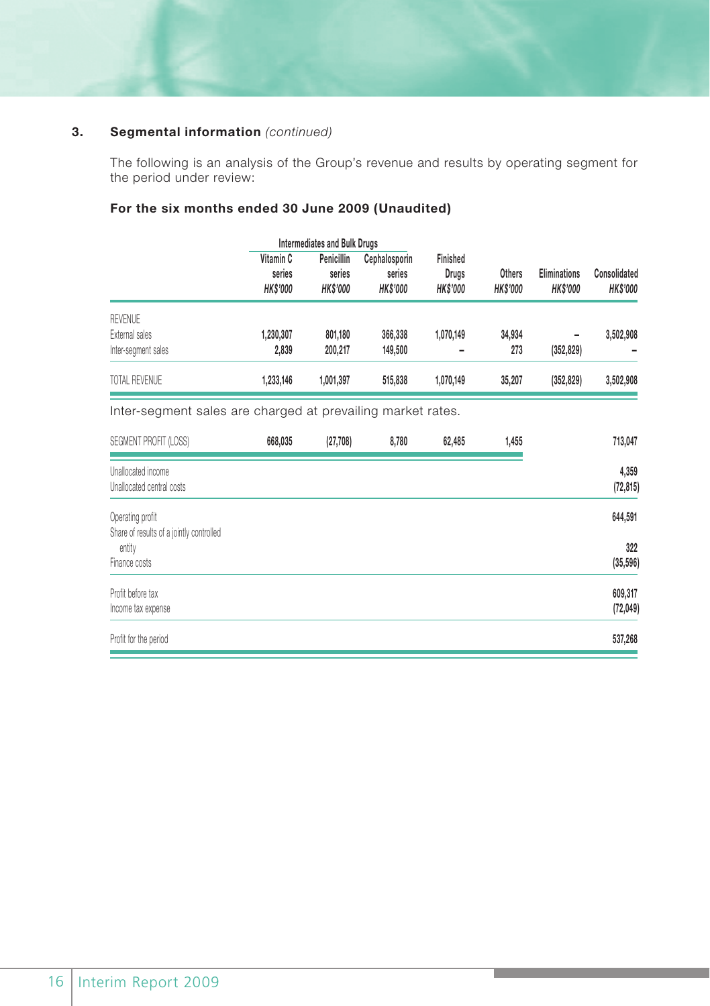### **3. Segmental information** *(continued)*

The following is an analysis of the Group's revenue and results by operating segment for the period under review:

## **For the six months ended 30 June 2009 (Unaudited)**

|                                  |                                        | <b>Intermediates and Bulk Drugs</b>     |                                            |                                      |                           |                                        |                                 |
|----------------------------------|----------------------------------------|-----------------------------------------|--------------------------------------------|--------------------------------------|---------------------------|----------------------------------------|---------------------------------|
|                                  | Vitamin C<br>series<br><b>HK\$'000</b> | Penicillin<br>series<br><b>HK\$'000</b> | Cephalosporin<br>series<br><b>HK\$'000</b> | Finished<br>Drugs<br><b>HK\$'000</b> | Others<br><b>HK\$'000</b> | <b>Eliminations</b><br><b>HK\$'000</b> | Consolidated<br><b>HK\$'000</b> |
| <b>REVENUE</b><br>External sales | 1.230.307                              | 801.180                                 | 366,338                                    | 1.070.149                            | 34.934                    |                                        |                                 |
| Inter-segment sales              | 2.839                                  | 200.217                                 | 149,500                                    |                                      | 273                       | ۰<br>(352, 829)                        | 3,502,908                       |
| TOTAL REVENUE                    | 1.233.146                              | 1.001.397                               | 515,838                                    | 1.070.149                            | 35,207                    | (352, 829)                             | 3,502,908                       |
|                                  |                                        |                                         |                                            |                                      |                           |                                        |                                 |

Inter-segment sales are charged at prevailing market rates.

| SEGMENT PROFIT (LOSS)                    | 668,035 | (27, 708) | 8,780 | 62,485 | 1,455 | 713,047   |
|------------------------------------------|---------|-----------|-------|--------|-------|-----------|
| Unallocated income                       |         |           |       |        |       | 4,359     |
| Unallocated central costs                |         |           |       |        |       | (72, 815) |
| Operating profit                         |         |           |       |        |       | 644,591   |
| Share of results of a jointly controlled |         |           |       |        |       |           |
| entity                                   |         |           |       |        |       | 322       |
| Finance costs                            |         |           |       |        |       | (35, 596) |
| Profit before tax                        |         |           |       |        |       | 609,317   |
| Income tax expense                       |         |           |       |        |       | (72, 049) |
| Profit for the period                    |         |           |       |        |       | 537,268   |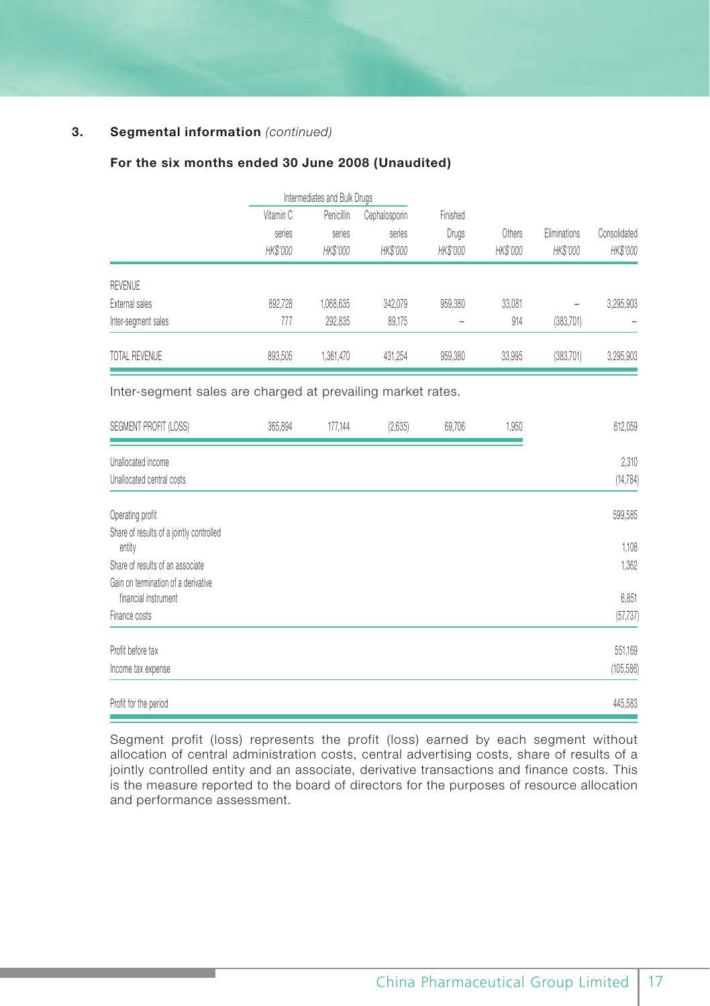### **3. Segmental information** *(continued)*

#### **For the six months ended 30 June 2008 (Unaudited)**

|                     |           | Intermediates and Bulk Drugs |               |          |          |            |              |              |
|---------------------|-----------|------------------------------|---------------|----------|----------|------------|--------------|--------------|
|                     | Vitamin C | Penicillin                   | Cephalosporin | Finished |          |            |              |              |
|                     | series    | series                       |               | series   | Drugs    | Others     | Eliminations | Consolidated |
|                     | HK\$'000  | HK\$'000                     | HK\$'000      | HK\$'000 | HK\$'000 | HK\$'000   | HK\$'000     |              |
| <b>REVENUE</b>      |           |                              |               |          |          |            |              |              |
| External sales      | 892.728   | 1,068,635                    | 342.079       | 959,380  | 33,081   |            | 3,295,903    |              |
| Inter-segment sales | 777       | 292.835                      | 89.175        |          | 914      | (383, 701) |              |              |
| TOTAL REVENUE       | 893.505   | 1,361,470                    | 431,254       | 959,380  | 33,995   | (383, 701) | 3,295,903    |              |

Inter-segment sales are charged at prevailing market rates.

| SEGMENT PROFIT (LOSS)                                       | 365,894 | 177,144 | (2,635) | 69,706 | 1,950 | 612,059            |
|-------------------------------------------------------------|---------|---------|---------|--------|-------|--------------------|
| Unallocated income<br>Unallocated central costs             |         |         |         |        |       | 2,310<br>(14, 784) |
|                                                             |         |         |         |        |       |                    |
| Operating profit                                            |         |         |         |        |       | 599,585            |
| Share of results of a jointly controlled<br>entity          |         |         |         |        |       | 1,108              |
| Share of results of an associate                            |         |         |         |        |       | 1,362              |
| Gain on termination of a derivative<br>financial instrument |         |         |         |        |       | 6,851              |
| Finance costs                                               |         |         |         |        |       | (57, 737)          |
| Profit before tax                                           |         |         |         |        |       | 551,169            |
| Income tax expense                                          |         |         |         |        |       | (105, 586)         |
| Profit for the period                                       |         |         |         |        |       | 445,583            |

Segment profit (loss) represents the profit (loss) earned by each segment without allocation of central administration costs, central advertising costs, share of results of a jointly controlled entity and an associate, derivative transactions and finance costs. This is the measure reported to the board of directors for the purposes of resource allocation and performance assessment.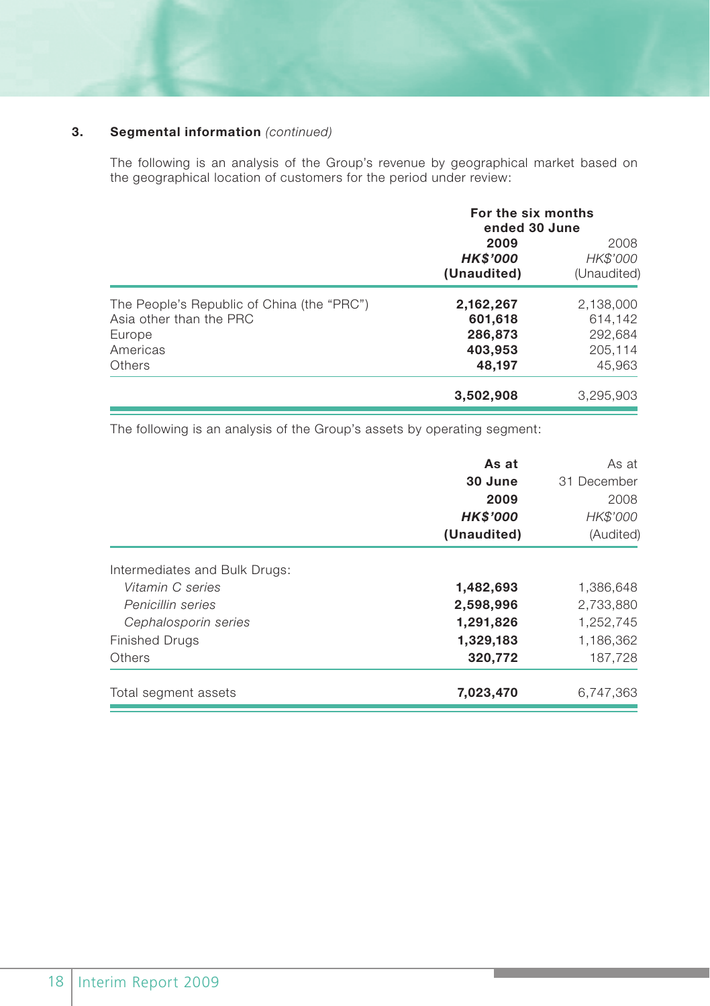### **3. Segmental information** *(continued)*

The following is an analysis of the Group's revenue by geographical market based on the geographical location of customers for the period under review:

|                                                                                                       | For the six months<br>ended 30 June                  |                                                      |
|-------------------------------------------------------------------------------------------------------|------------------------------------------------------|------------------------------------------------------|
|                                                                                                       | 2009<br><b>HK\$'000</b><br>(Unaudited)               | 2008<br>HK\$'000<br>(Unaudited)                      |
| The People's Republic of China (the "PRC")<br>Asia other than the PRC<br>Europe<br>Americas<br>Others | 2,162,267<br>601,618<br>286,873<br>403,953<br>48,197 | 2,138,000<br>614.142<br>292,684<br>205,114<br>45,963 |
|                                                                                                       | 3,502,908                                            | 3,295,903                                            |

The following is an analysis of the Group's assets by operating segment:

|                               | As at<br>30 June<br>2009<br><b>HK\$'000</b><br>(Unaudited) | As at<br>31 December<br>2008<br>HK\$'000<br>(Audited) |
|-------------------------------|------------------------------------------------------------|-------------------------------------------------------|
| Intermediates and Bulk Drugs: |                                                            |                                                       |
| Vitamin C series              | 1,482,693                                                  | 1,386,648                                             |
| Penicillin series             | 2,598,996                                                  | 2,733,880                                             |
| Cephalosporin series          | 1,291,826                                                  | 1,252,745                                             |
| <b>Finished Drugs</b>         | 1,329,183                                                  | 1,186,362                                             |
| Others                        | 320,772                                                    | 187,728                                               |
| Total segment assets          | 7,023,470                                                  | 6.747.363                                             |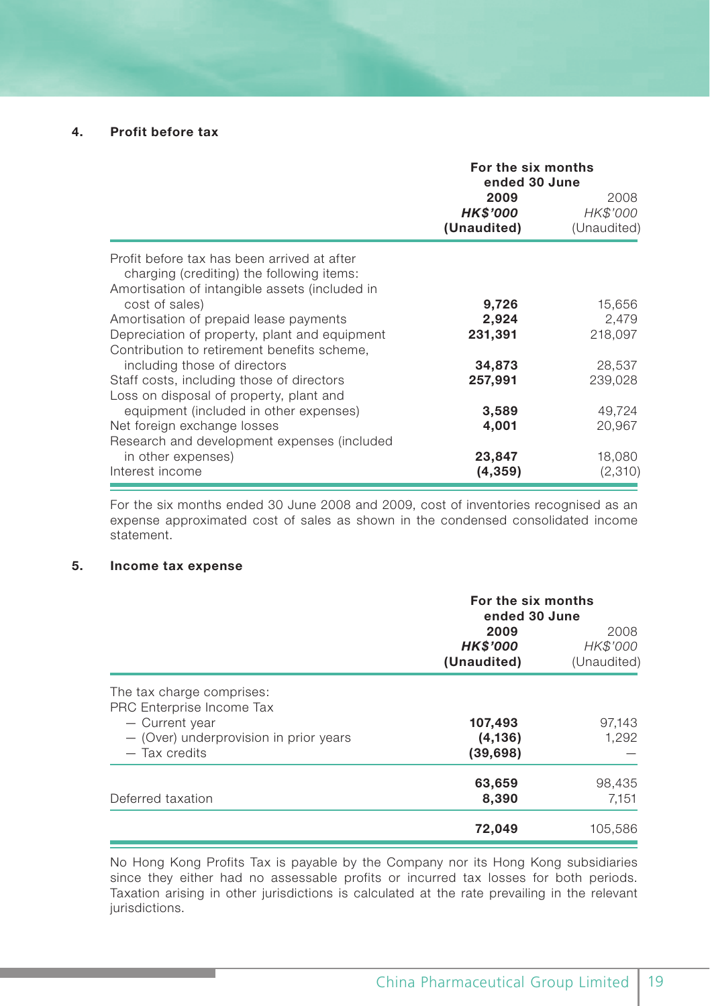#### **4. Profit before tax**

|                                                                                          | For the six months<br>ended 30 June |                                 |
|------------------------------------------------------------------------------------------|-------------------------------------|---------------------------------|
|                                                                                          | 2009<br>HK\$'000<br>(Unaudited)     | 2008<br>HK\$'000<br>(Unaudited) |
| Profit before tax has been arrived at after<br>charging (crediting) the following items: |                                     |                                 |
| Amortisation of intangible assets (included in<br>cost of sales)                         | 9,726                               | 15,656                          |
| Amortisation of prepaid lease payments                                                   | 2,924                               | 2,479                           |
| Depreciation of property, plant and equipment                                            | 231,391                             | 218,097                         |
| Contribution to retirement benefits scheme.                                              |                                     |                                 |
| including those of directors                                                             | 34,873                              | 28,537                          |
| Staff costs, including those of directors                                                | 257,991                             | 239,028                         |
| Loss on disposal of property, plant and                                                  |                                     |                                 |
| equipment (included in other expenses)                                                   | 3,589                               | 49,724                          |
| Net foreign exchange losses                                                              | 4,001                               | 20,967                          |
| Research and development expenses (included                                              |                                     |                                 |
| in other expenses)                                                                       | 23,847                              | 18,080                          |
| Interest income                                                                          | (4,359)                             | (2,310)                         |

For the six months ended 30 June 2008 and 2009, cost of inventories recognised as an expense approximated cost of sales as shown in the condensed consolidated income statement.

#### **5. Income tax expense**

|                                                                                                                                       | For the six months<br>ended 30 June    |                                 |
|---------------------------------------------------------------------------------------------------------------------------------------|----------------------------------------|---------------------------------|
|                                                                                                                                       | 2009<br><b>HK\$'000</b><br>(Unaudited) | 2008<br>HK\$'000<br>(Unaudited) |
| The tax charge comprises:<br>PRC Enterprise Income Tax<br>- Current year<br>- (Over) underprovision in prior years<br>$-$ Tax credits | 107,493<br>(4, 136)<br>(39, 698)       | 97,143<br>1,292                 |
| Deferred taxation                                                                                                                     | 63,659<br>8,390                        | 98,435<br>7,151                 |
|                                                                                                                                       | 72,049                                 | 105,586                         |

No Hong Kong Profits Tax is payable by the Company nor its Hong Kong subsidiaries since they either had no assessable profits or incurred tax losses for both periods. Taxation arising in other jurisdictions is calculated at the rate prevailing in the relevant jurisdictions.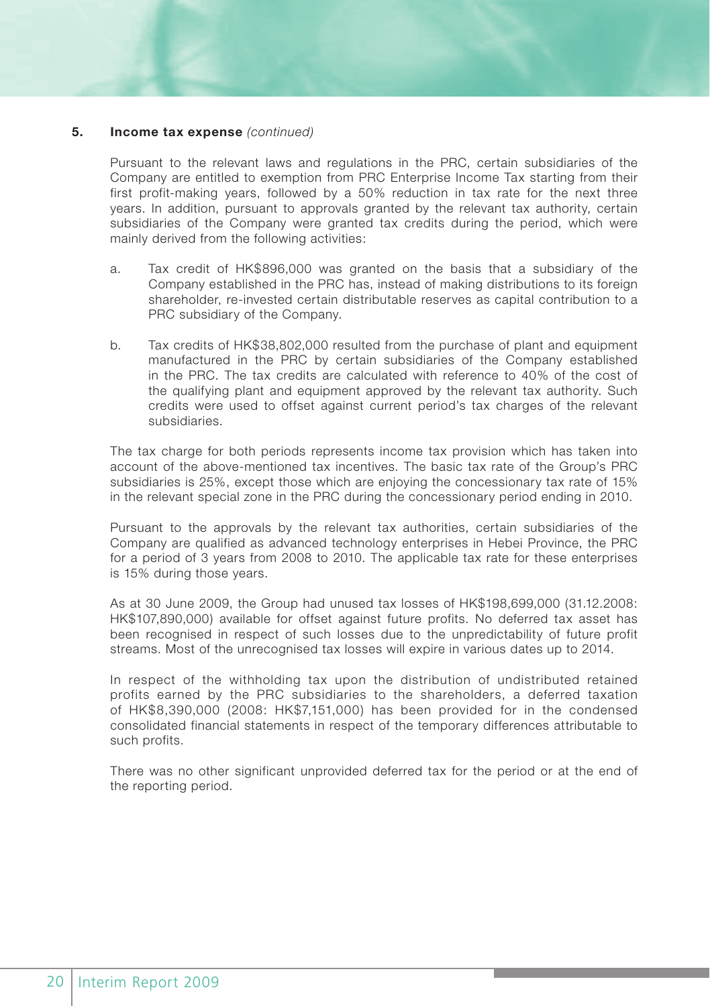### **5. Income tax expense** *(continued)*

Pursuant to the relevant laws and regulations in the PRC, certain subsidiaries of the Company are entitled to exemption from PRC Enterprise Income Tax starting from their first profit-making years, followed by a 50% reduction in tax rate for the next three years. In addition, pursuant to approvals granted by the relevant tax authority, certain subsidiaries of the Company were granted tax credits during the period, which were mainly derived from the following activities:

- a. Tax credit of HK\$896,000 was granted on the basis that a subsidiary of the Company established in the PRC has, instead of making distributions to its foreign shareholder, re-invested certain distributable reserves as capital contribution to a PRC subsidiary of the Company.
- b. Tax credits of HK\$38,802,000 resulted from the purchase of plant and equipment manufactured in the PRC by certain subsidiaries of the Company established in the PRC. The tax credits are calculated with reference to 40% of the cost of the qualifying plant and equipment approved by the relevant tax authority. Such credits were used to offset against current period's tax charges of the relevant subsidiaries.

The tax charge for both periods represents income tax provision which has taken into account of the above-mentioned tax incentives. The basic tax rate of the Group's PRC subsidiaries is 25%, except those which are enjoying the concessionary tax rate of 15% in the relevant special zone in the PRC during the concessionary period ending in 2010.

Pursuant to the approvals by the relevant tax authorities, certain subsidiaries of the Company are qualified as advanced technology enterprises in Hebei Province, the PRC for a period of 3 years from 2008 to 2010. The applicable tax rate for these enterprises is 15% during those years.

As at 30 June 2009, the Group had unused tax losses of HK\$198,699,000 (31.12.2008: HK\$107,890,000) available for offset against future profits. No deferred tax asset has been recognised in respect of such losses due to the unpredictability of future profit streams. Most of the unrecognised tax losses will expire in various dates up to 2014.

In respect of the withholding tax upon the distribution of undistributed retained profits earned by the PRC subsidiaries to the shareholders, a deferred taxation of HK\$8,390,000 (2008: HK\$7,151,000) has been provided for in the condensed consolidated financial statements in respect of the temporary differences attributable to such profits.

There was no other significant unprovided deferred tax for the period or at the end of the reporting period.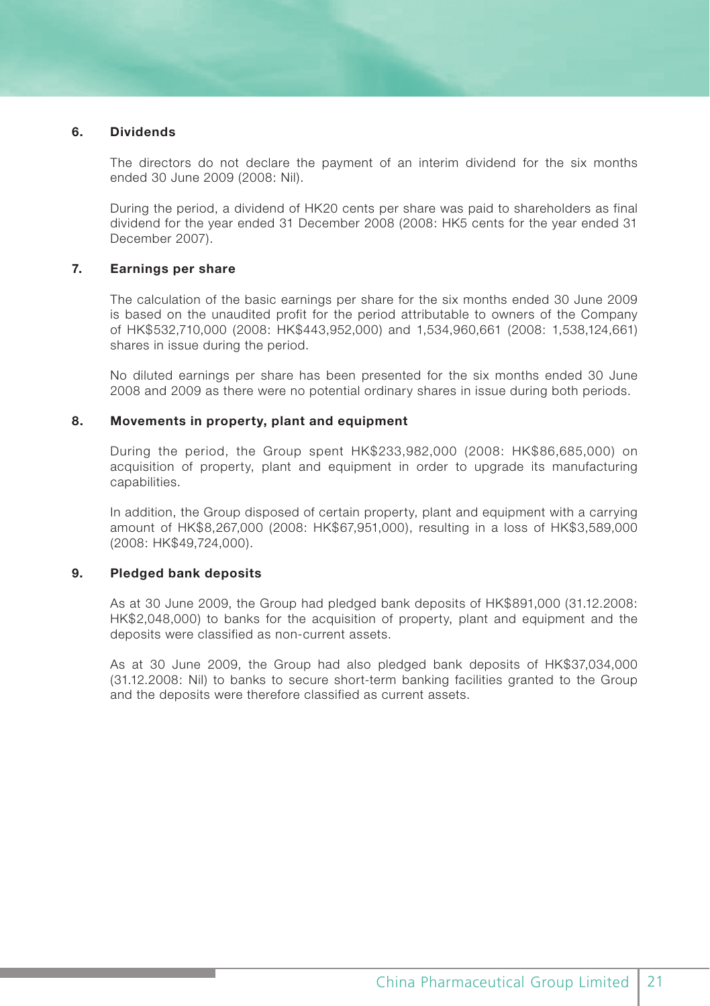#### **6. Dividends**

The directors do not declare the payment of an interim dividend for the six months ended 30 June 2009 (2008: Nil).

During the period, a dividend of HK20 cents per share was paid to shareholders as final dividend for the year ended 31 December 2008 (2008: HK5 cents for the year ended 31 December 2007).

#### **7. Earnings per share**

The calculation of the basic earnings per share for the six months ended 30 June 2009 is based on the unaudited profit for the period attributable to owners of the Company of HK\$532,710,000 (2008: HK\$443,952,000) and 1,534,960,661 (2008: 1,538,124,661) shares in issue during the period.

No diluted earnings per share has been presented for the six months ended 30 June 2008 and 2009 as there were no potential ordinary shares in issue during both periods.

#### **8. Movements in property, plant and equipment**

During the period, the Group spent HK\$233,982,000 (2008: HK\$86,685,000) on acquisition of property, plant and equipment in order to upgrade its manufacturing capabilities.

In addition, the Group disposed of certain property, plant and equipment with a carrying amount of HK\$8,267,000 (2008: HK\$67,951,000), resulting in a loss of HK\$3,589,000 (2008: HK\$49,724,000).

#### **9. Pledged bank deposits**

As at 30 June 2009, the Group had pledged bank deposits of HK\$891,000 (31.12.2008: HK\$2,048,000) to banks for the acquisition of property, plant and equipment and the deposits were classified as non-current assets.

As at 30 June 2009, the Group had also pledged bank deposits of HK\$37,034,000 (31.12.2008: Nil) to banks to secure short-term banking facilities granted to the Group and the deposits were therefore classified as current assets.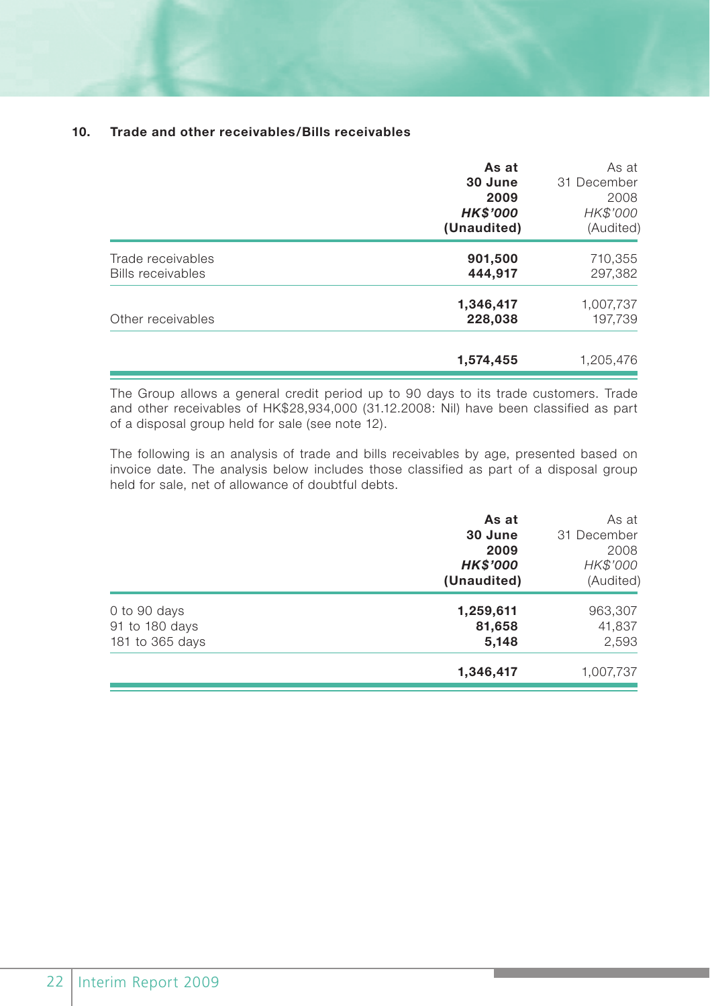#### **10. Trade and other receivables/Bills receivables**

|                                               | As at<br>30 June<br>2009<br><b>HK\$'000</b><br>(Unaudited) | As at<br>31 December<br>2008<br>HK\$'000<br>(Audited) |
|-----------------------------------------------|------------------------------------------------------------|-------------------------------------------------------|
| Trade receivables<br><b>Bills receivables</b> | 901,500<br>444,917                                         | 710,355<br>297,382                                    |
| Other receivables                             | 1,346,417<br>228,038                                       | 1,007,737<br>197,739                                  |
|                                               | 1,574,455                                                  | 1,205,476                                             |

The Group allows a general credit period up to 90 days to its trade customers. Trade and other receivables of HK\$28,934,000 (31.12.2008: Nil) have been classified as part of a disposal group held for sale (see note 12).

The following is an analysis of trade and bills receivables by age, presented based on invoice date. The analysis below includes those classified as part of a disposal group held for sale, net of allowance of doubtful debts.

| As at           | As at       |
|-----------------|-------------|
| 30 June         | 31 December |
| 2009            | 2008        |
| <b>HK\$'000</b> | HK\$'000    |
| (Unaudited)     | (Audited)   |
| 1,259,611       | 963,307     |
| 81,658          | 41,837      |
| 5,148           | 2,593       |
| 1,346,417       | 1,007,737   |
|                 |             |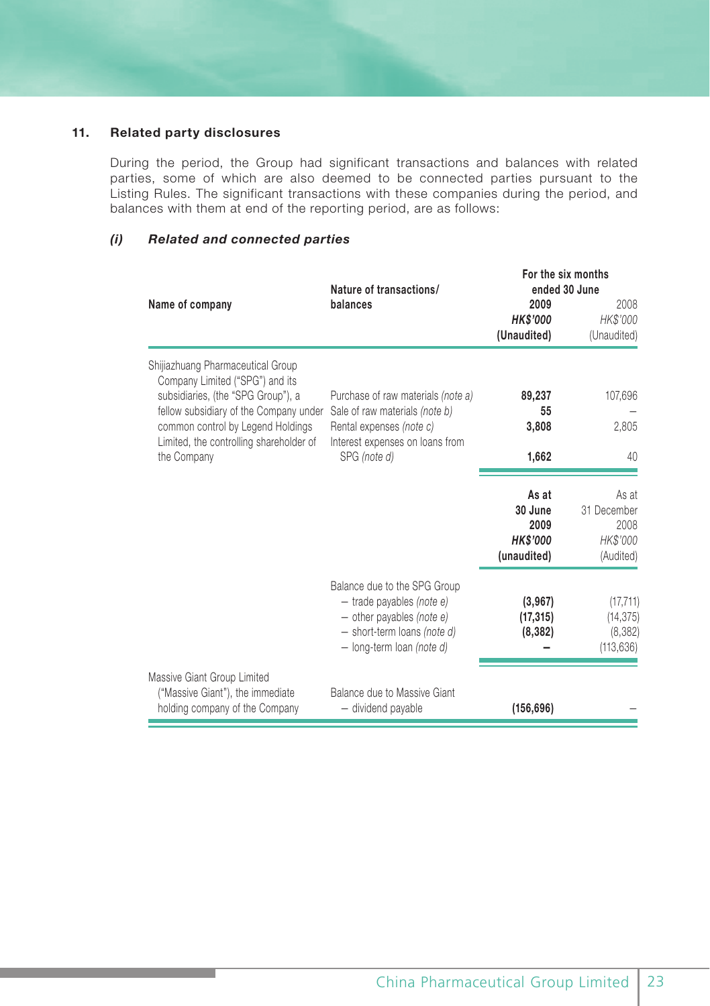#### **11. Related party disclosures**

During the period, the Group had significant transactions and balances with related parties, some of which are also deemed to be connected parties pursuant to the Listing Rules. The significant transactions with these companies during the period, and balances with them at end of the reporting period, are as follows:

#### *(i) Related and connected parties*

|                                                                                                   | Nature of transactions/                                                                                                                                | For the six months<br>ended 30 June                        |                                                       |
|---------------------------------------------------------------------------------------------------|--------------------------------------------------------------------------------------------------------------------------------------------------------|------------------------------------------------------------|-------------------------------------------------------|
| Name of company                                                                                   | balances                                                                                                                                               | 2009<br><b>HK\$'000</b><br>(Unaudited)                     | 2008<br>HK\$'000<br>(Unaudited)                       |
| Shijiazhuang Pharmaceutical Group<br>Company Limited ("SPG") and its                              |                                                                                                                                                        |                                                            |                                                       |
| subsidiaries, (the "SPG Group"), a                                                                | Purchase of raw materials (note a)                                                                                                                     | 89,237                                                     | 107,696                                               |
| fellow subsidiary of the Company under<br>common control by Legend Holdings                       | Sale of raw materials (note b)<br>Rental expenses (note c)                                                                                             | 55<br>3,808                                                | 2,805                                                 |
| Limited, the controlling shareholder of                                                           | Interest expenses on loans from                                                                                                                        |                                                            |                                                       |
| the Company                                                                                       | SPG (note d)                                                                                                                                           | 1,662                                                      | 40                                                    |
|                                                                                                   |                                                                                                                                                        | As at<br>30 June<br>2009<br><b>HK\$'000</b><br>(unaudited) | As at<br>31 December<br>2008<br>HK\$'000<br>(Audited) |
|                                                                                                   | Balance due to the SPG Group<br>$-$ trade payables (note e)<br>$-$ other payables (note e)<br>- short-term loans (note d)<br>- long-term loan (note d) | (3,967)<br>(17, 315)<br>(8,382)                            | (17, 711)<br>(14, 375)<br>(8,382)<br>(113, 636)       |
| Massive Giant Group Limited<br>("Massive Giant"), the immediate<br>holding company of the Company | Balance due to Massive Giant<br>- dividend payable                                                                                                     | (156, 696)                                                 |                                                       |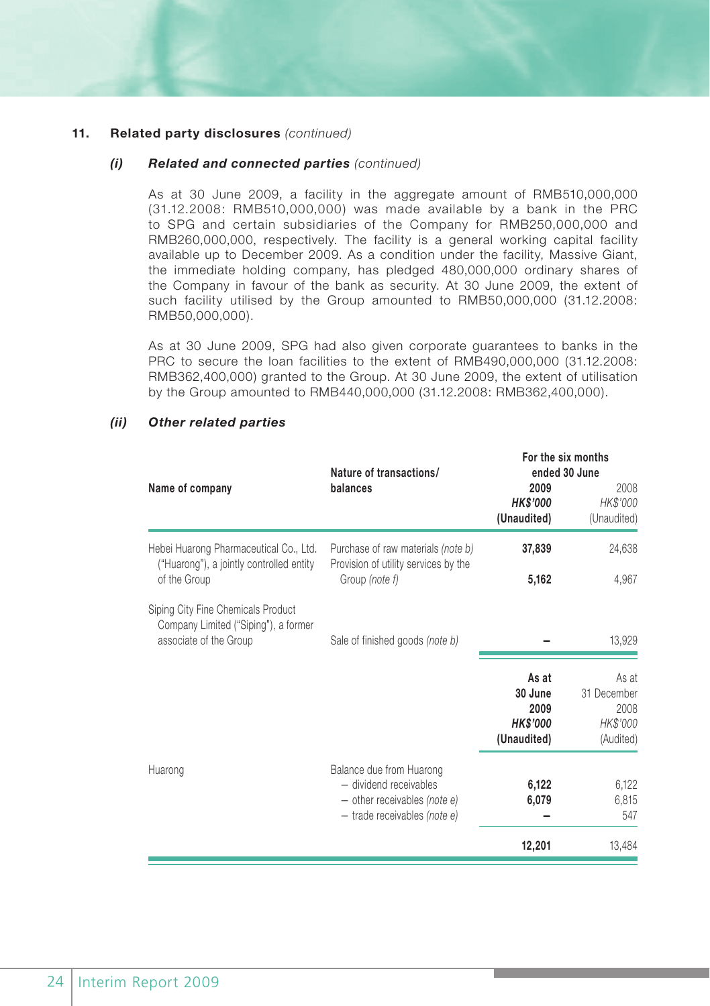#### *(i) Related and connected parties (continued)*

As at 30 June 2009, a facility in the aggregate amount of RMB510,000,000 (31.12.2008: RMB510,000,000) was made available by a bank in the PRC to SPG and certain subsidiaries of the Company for RMB250,000,000 and RMB260,000,000, respectively. The facility is a general working capital facility available up to December 2009. As a condition under the facility, Massive Giant, the immediate holding company, has pledged 480,000,000 ordinary shares of the Company in favour of the bank as security. At 30 June 2009, the extent of such facility utilised by the Group amounted to RMB50,000,000 (31.12.2008: RMB50,000,000).

As at 30 June 2009, SPG had also given corporate guarantees to banks in the PRC to secure the loan facilities to the extent of RMB490,000,000 (31.12.2008: RMB362,400,000) granted to the Group. At 30 June 2009, the extent of utilisation by the Group amounted to RMB440,000,000 (31.12.2008: RMB362,400,000).

|                                                                                                      | Nature of transactions/                                                                                                       | For the six months                                         | ended 30 June                                         |
|------------------------------------------------------------------------------------------------------|-------------------------------------------------------------------------------------------------------------------------------|------------------------------------------------------------|-------------------------------------------------------|
| Name of company                                                                                      | balances                                                                                                                      | 2009<br><b>HK\$'000</b><br>(Unaudited)                     | 2008<br>HK\$'000<br>(Unaudited)                       |
| Hebei Huarong Pharmaceutical Co., Ltd.<br>("Huarong"), a jointly controlled entity                   | Purchase of raw materials (note b)<br>Provision of utility services by the                                                    | 37,839                                                     | 24,638                                                |
| of the Group                                                                                         | Group (note f)                                                                                                                | 5,162                                                      | 4,967                                                 |
| Siping City Fine Chemicals Product<br>Company Limited ("Siping"), a former<br>associate of the Group | Sale of finished goods (note b)                                                                                               |                                                            | 13,929                                                |
|                                                                                                      |                                                                                                                               | As at<br>30 June<br>2009<br><b>HK\$'000</b><br>(Unaudited) | As at<br>31 December<br>2008<br>HK\$'000<br>(Audited) |
| Huarong                                                                                              | Balance due from Huarong<br>- dividend receivables<br>$-$ other receivables <i>(note e)</i><br>$-$ trade receivables (note e) | 6,122<br>6,079                                             | 6,122<br>6,815<br>547                                 |
|                                                                                                      |                                                                                                                               | 12,201                                                     | 13,484                                                |

#### *(ii) Other related parties*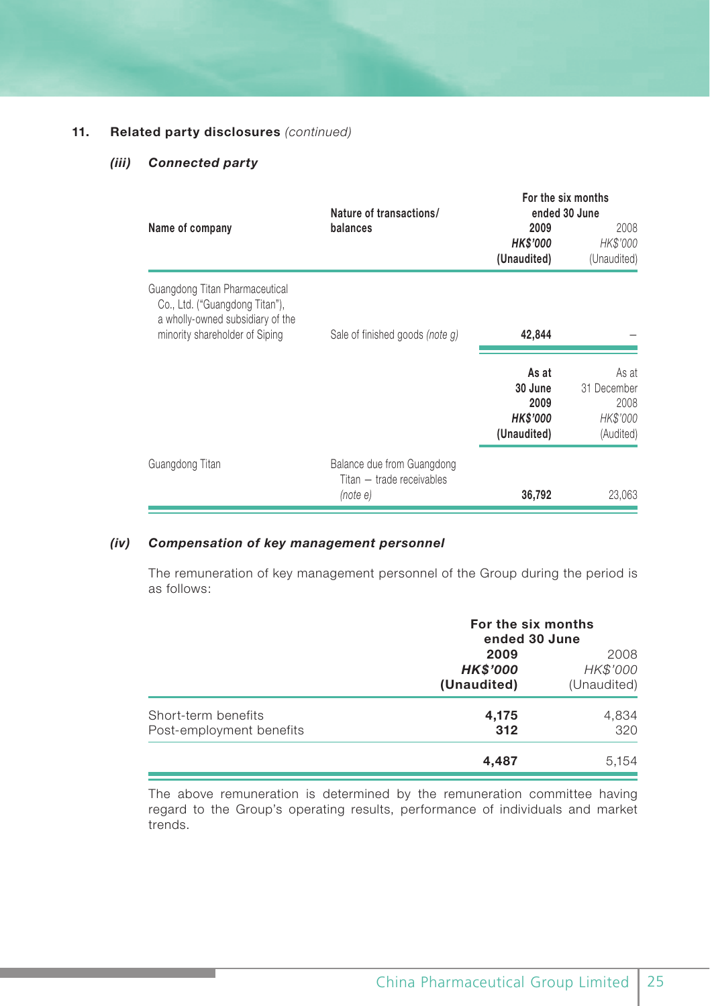#### *(iii) Connected party*

|                                                                                                                                        | Nature of transactions/                                             |                                                            | For the six months<br>ended 30 June                   |
|----------------------------------------------------------------------------------------------------------------------------------------|---------------------------------------------------------------------|------------------------------------------------------------|-------------------------------------------------------|
| Name of company                                                                                                                        | balances                                                            | 2009<br><b>HK\$'000</b><br>(Unaudited)                     | 2008<br>HK\$'000<br>(Unaudited)                       |
| Guangdong Titan Pharmaceutical<br>Co., Ltd. ("Guangdong Titan"),<br>a wholly-owned subsidiary of the<br>minority shareholder of Siping | Sale of finished goods (note q)                                     | 42,844                                                     |                                                       |
|                                                                                                                                        |                                                                     | As at<br>30 June<br>2009<br><b>HK\$'000</b><br>(Unaudited) | As at<br>31 December<br>2008<br>HK\$'000<br>(Audited) |
| Guangdong Titan                                                                                                                        | Balance due from Guangdong<br>Titan - trade receivables<br>(note e) | 36,792                                                     | 23,063                                                |

#### *(iv) Compensation of key management personnel*

The remuneration of key management personnel of the Group during the period is as follows:

|                                                 | For the six months<br>ended 30 June    |                                 |
|-------------------------------------------------|----------------------------------------|---------------------------------|
|                                                 | 2009<br><b>HK\$'000</b><br>(Unaudited) | 2008<br>HK\$'000<br>(Unaudited) |
| Short-term benefits<br>Post-employment benefits | 4,175<br>312                           | 4,834<br>320                    |
|                                                 | 4.487                                  | 5.154                           |

The above remuneration is determined by the remuneration committee having regard to the Group's operating results, performance of individuals and market trends.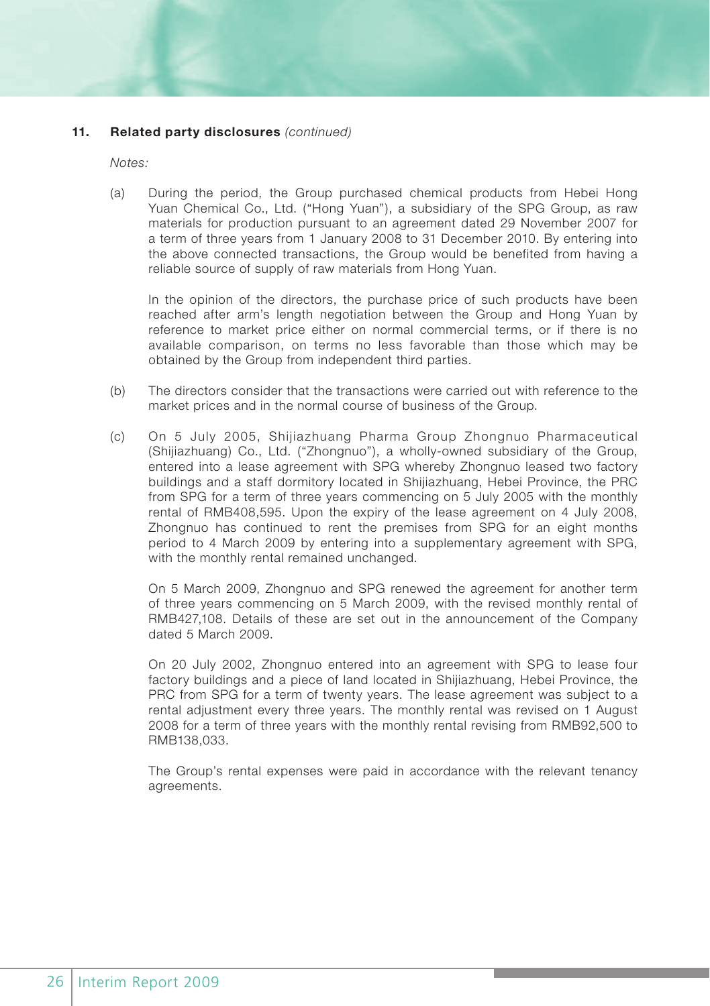*Notes:*

(a) During the period, the Group purchased chemical products from Hebei Hong Yuan Chemical Co., Ltd. ("Hong Yuan"), a subsidiary of the SPG Group, as raw materials for production pursuant to an agreement dated 29 November 2007 for a term of three years from 1 January 2008 to 31 December 2010. By entering into the above connected transactions, the Group would be benefited from having a reliable source of supply of raw materials from Hong Yuan.

In the opinion of the directors, the purchase price of such products have been reached after arm's length negotiation between the Group and Hong Yuan by reference to market price either on normal commercial terms, or if there is no available comparison, on terms no less favorable than those which may be obtained by the Group from independent third parties.

- (b) The directors consider that the transactions were carried out with reference to the market prices and in the normal course of business of the Group.
- (c) On 5 July 2005, Shijiazhuang Pharma Group Zhongnuo Pharmaceutical (Shijiazhuang) Co., Ltd. ("Zhongnuo"), a wholly-owned subsidiary of the Group, entered into a lease agreement with SPG whereby Zhongnuo leased two factory buildings and a staff dormitory located in Shijiazhuang, Hebei Province, the PRC from SPG for a term of three years commencing on 5 July 2005 with the monthly rental of RMB408,595. Upon the expiry of the lease agreement on 4 July 2008, Zhongnuo has continued to rent the premises from SPG for an eight months period to 4 March 2009 by entering into a supplementary agreement with SPG, with the monthly rental remained unchanged.

On 5 March 2009, Zhongnuo and SPG renewed the agreement for another term of three years commencing on 5 March 2009, with the revised monthly rental of RMB427,108. Details of these are set out in the announcement of the Company dated 5 March 2009.

On 20 July 2002, Zhongnuo entered into an agreement with SPG to lease four factory buildings and a piece of land located in Shijiazhuang, Hebei Province, the PRC from SPG for a term of twenty years. The lease agreement was subject to a rental adjustment every three years. The monthly rental was revised on 1 August 2008 for a term of three years with the monthly rental revising from RMB92,500 to RMB138,033.

The Group's rental expenses were paid in accordance with the relevant tenancy agreements.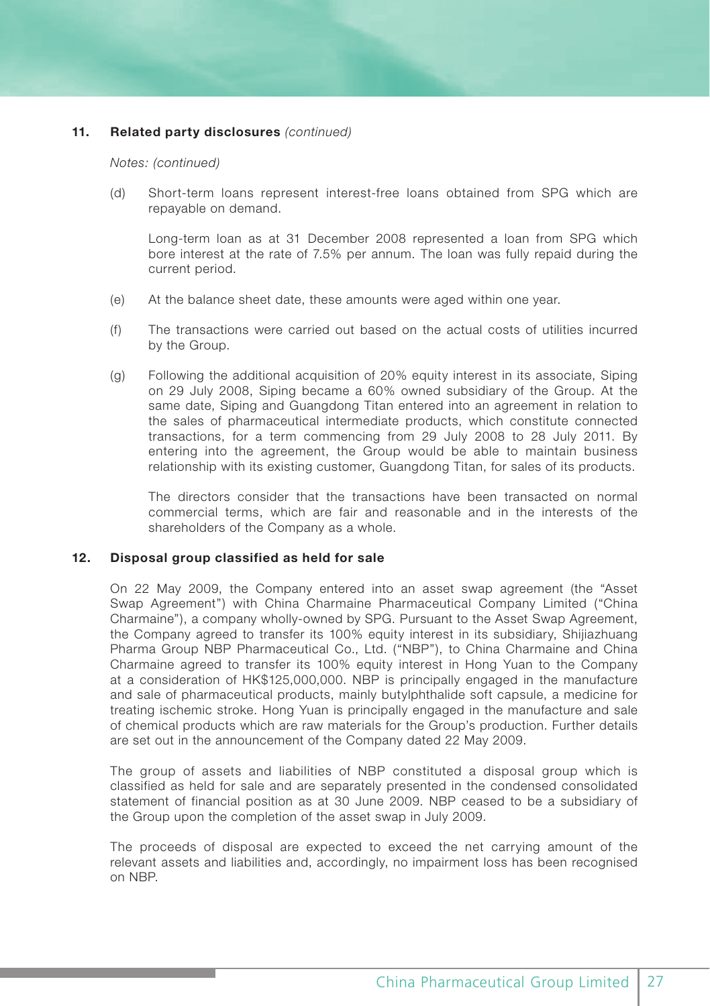#### *Notes: (continued)*

(d) Short-term loans represent interest-free loans obtained from SPG which are repayable on demand.

 Long-term loan as at 31 December 2008 represented a loan from SPG which bore interest at the rate of 7.5% per annum. The loan was fully repaid during the current period.

- (e) At the balance sheet date, these amounts were aged within one year.
- (f) The transactions were carried out based on the actual costs of utilities incurred by the Group.
- (g) Following the additional acquisition of 20% equity interest in its associate, Siping on 29 July 2008, Siping became a 60% owned subsidiary of the Group. At the same date, Siping and Guangdong Titan entered into an agreement in relation to the sales of pharmaceutical intermediate products, which constitute connected transactions, for a term commencing from 29 July 2008 to 28 July 2011. By entering into the agreement, the Group would be able to maintain business relationship with its existing customer, Guangdong Titan, for sales of its products.

The directors consider that the transactions have been transacted on normal commercial terms, which are fair and reasonable and in the interests of the shareholders of the Company as a whole.

#### **12. Disposal group classified as held for sale**

On 22 May 2009, the Company entered into an asset swap agreement (the "Asset Swap Agreement") with China Charmaine Pharmaceutical Company Limited ("China Charmaine"), a company wholly-owned by SPG. Pursuant to the Asset Swap Agreement, the Company agreed to transfer its 100% equity interest in its subsidiary, Shijiazhuang Pharma Group NBP Pharmaceutical Co., Ltd. ("NBP"), to China Charmaine and China Charmaine agreed to transfer its 100% equity interest in Hong Yuan to the Company at a consideration of HK\$125,000,000. NBP is principally engaged in the manufacture and sale of pharmaceutical products, mainly butylphthalide soft capsule, a medicine for treating ischemic stroke. Hong Yuan is principally engaged in the manufacture and sale of chemical products which are raw materials for the Group's production. Further details are set out in the announcement of the Company dated 22 May 2009.

The group of assets and liabilities of NBP constituted a disposal group which is classified as held for sale and are separately presented in the condensed consolidated statement of financial position as at 30 June 2009. NBP ceased to be a subsidiary of the Group upon the completion of the asset swap in July 2009.

The proceeds of disposal are expected to exceed the net carrying amount of the relevant assets and liabilities and, accordingly, no impairment loss has been recognised on NBP.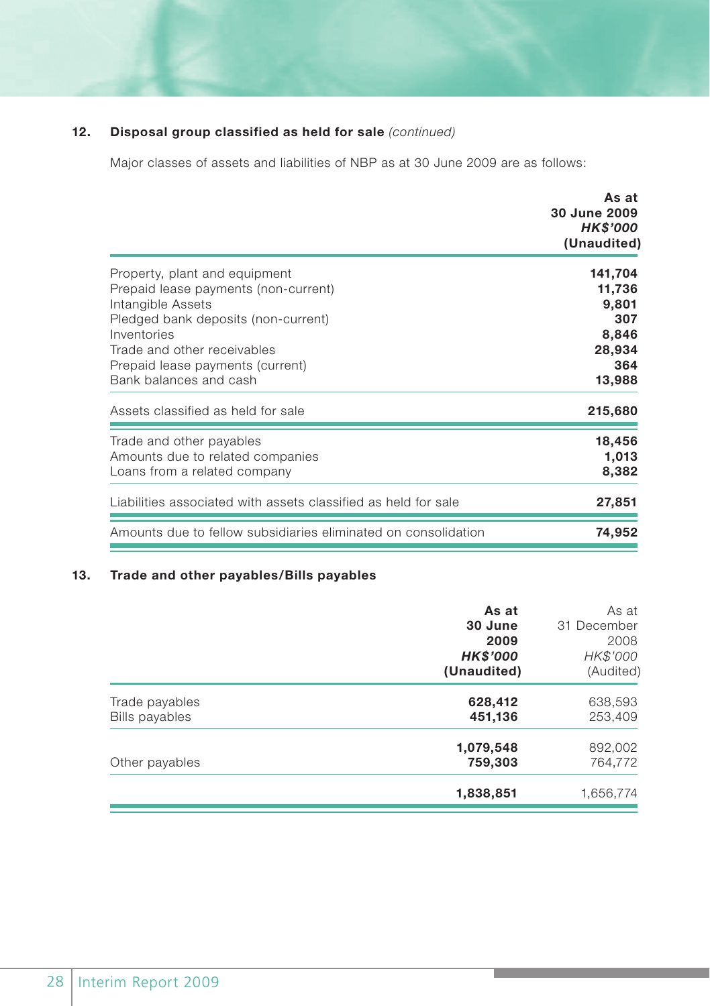# **12. Disposal group classified as held for sale** *(continued)*

Major classes of assets and liabilities of NBP as at 30 June 2009 are as follows:

|                                                                | As at<br>30 June 2009<br><b>HK\$'000</b> |
|----------------------------------------------------------------|------------------------------------------|
|                                                                | (Unaudited)                              |
| Property, plant and equipment                                  | 141,704                                  |
| Prepaid lease payments (non-current)                           | 11,736                                   |
| Intangible Assets                                              | 9,801                                    |
| Pledged bank deposits (non-current)                            | 307                                      |
| Inventories                                                    | 8,846                                    |
| Trade and other receivables                                    | 28,934                                   |
| Prepaid lease payments (current)                               | 364                                      |
| Bank balances and cash                                         | 13,988                                   |
| Assets classified as held for sale                             | 215,680                                  |
| Trade and other payables                                       | 18,456                                   |
| Amounts due to related companies                               | 1,013                                    |
| Loans from a related company                                   | 8,382                                    |
| Liabilities associated with assets classified as held for sale | 27,851                                   |
| Amounts due to fellow subsidiaries eliminated on consolidation | 74,952                                   |

# **13. Trade and other payables/Bills payables**

|                                  | As at<br>30 June<br>2009<br><b>HK\$'000</b><br>(Unaudited) | As at<br>31 December<br>2008<br>HK\$'000<br>(Audited) |
|----------------------------------|------------------------------------------------------------|-------------------------------------------------------|
| Trade payables<br>Bills payables | 628,412<br>451,136                                         | 638,593<br>253,409                                    |
| Other payables                   | 1,079,548<br>759,303                                       | 892,002<br>764.772                                    |
|                                  | 1,838,851                                                  | 1,656,774                                             |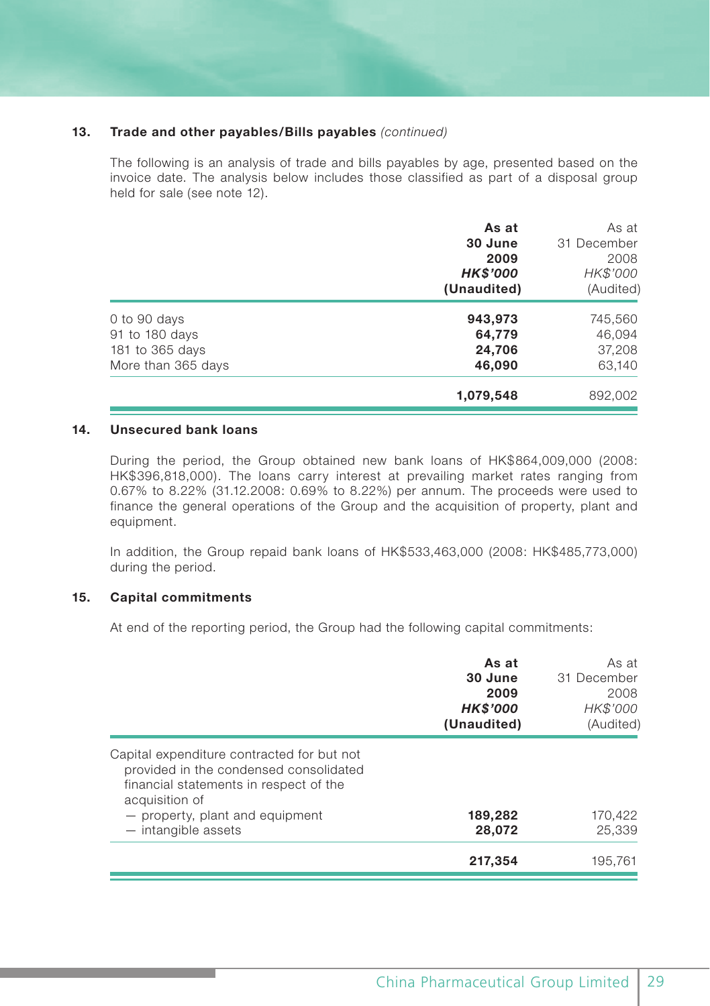#### **13. Trade and other payables/Bills payables** *(continued)*

The following is an analysis of trade and bills payables by age, presented based on the invoice date. The analysis below includes those classified as part of a disposal group held for sale (see note 12).

|                                                                         | As at<br>30 June<br>2009<br><b>HK\$'000</b><br>(Unaudited) | As at<br>31 December<br>2008<br>HK\$'000<br>(Audited) |
|-------------------------------------------------------------------------|------------------------------------------------------------|-------------------------------------------------------|
| 0 to 90 days<br>91 to 180 days<br>181 to 365 days<br>More than 365 days | 943,973<br>64,779<br>24,706<br>46,090                      | 745,560<br>46,094<br>37,208<br>63,140                 |
|                                                                         | 1,079,548                                                  | 892,002                                               |

#### **14. Unsecured bank loans**

During the period, the Group obtained new bank loans of HK\$864,009,000 (2008: HK\$396,818,000). The loans carry interest at prevailing market rates ranging from 0.67% to 8.22% (31.12.2008: 0.69% to 8.22%) per annum. The proceeds were used to finance the general operations of the Group and the acquisition of property, plant and equipment.

In addition, the Group repaid bank loans of HK\$533,463,000 (2008: HK\$485,773,000) during the period.

#### **15. Capital commitments**

At end of the reporting period, the Group had the following capital commitments:

|                                                                                                                                                                                                              | As at<br>30 June<br>2009<br><b>HK\$'000</b><br>(Unaudited) | As at<br>31 December<br>2008<br>HK\$'000<br>(Audited) |
|--------------------------------------------------------------------------------------------------------------------------------------------------------------------------------------------------------------|------------------------------------------------------------|-------------------------------------------------------|
| Capital expenditure contracted for but not<br>provided in the condensed consolidated<br>financial statements in respect of the<br>acquisition of<br>- property, plant and equipment<br>$-$ intangible assets | 189,282<br>28,072                                          | 170,422<br>25.339                                     |
|                                                                                                                                                                                                              | 217,354                                                    | 195.761                                               |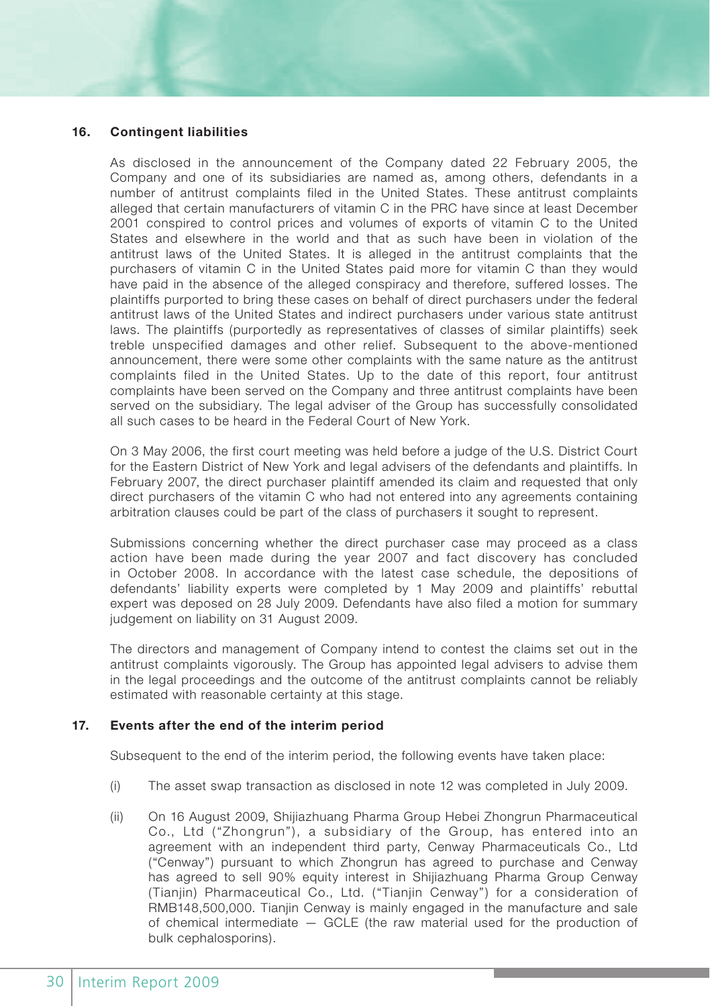#### **16. Contingent liabilities**

As disclosed in the announcement of the Company dated 22 February 2005, the Company and one of its subsidiaries are named as, among others, defendants in a number of antitrust complaints filed in the United States. These antitrust complaints alleged that certain manufacturers of vitamin C in the PRC have since at least December 2001 conspired to control prices and volumes of exports of vitamin C to the United States and elsewhere in the world and that as such have been in violation of the antitrust laws of the United States. It is alleged in the antitrust complaints that the purchasers of vitamin C in the United States paid more for vitamin C than they would have paid in the absence of the alleged conspiracy and therefore, suffered losses. The plaintiffs purported to bring these cases on behalf of direct purchasers under the federal antitrust laws of the United States and indirect purchasers under various state antitrust laws. The plaintiffs (purportedly as representatives of classes of similar plaintiffs) seek treble unspecified damages and other relief. Subsequent to the above-mentioned announcement, there were some other complaints with the same nature as the antitrust complaints filed in the United States. Up to the date of this report, four antitrust complaints have been served on the Company and three antitrust complaints have been served on the subsidiary. The legal adviser of the Group has successfully consolidated all such cases to be heard in the Federal Court of New York.

On 3 May 2006, the first court meeting was held before a judge of the U.S. District Court for the Eastern District of New York and legal advisers of the defendants and plaintiffs. In February 2007, the direct purchaser plaintiff amended its claim and requested that only direct purchasers of the vitamin C who had not entered into any agreements containing arbitration clauses could be part of the class of purchasers it sought to represent.

Submissions concerning whether the direct purchaser case may proceed as a class action have been made during the year 2007 and fact discovery has concluded in October 2008. In accordance with the latest case schedule, the depositions of defendants' liability experts were completed by 1 May 2009 and plaintiffs' rebuttal expert was deposed on 28 July 2009. Defendants have also filed a motion for summary judgement on liability on 31 August 2009.

The directors and management of Company intend to contest the claims set out in the antitrust complaints vigorously. The Group has appointed legal advisers to advise them in the legal proceedings and the outcome of the antitrust complaints cannot be reliably estimated with reasonable certainty at this stage.

#### **17. Events after the end of the interim period**

Subsequent to the end of the interim period, the following events have taken place:

- (i) The asset swap transaction as disclosed in note 12 was completed in July 2009.
- (ii) On 16 August 2009, Shijiazhuang Pharma Group Hebei Zhongrun Pharmaceutical Co., Ltd ("Zhongrun"), a subsidiary of the Group, has entered into an agreement with an independent third party, Cenway Pharmaceuticals Co., Ltd ("Cenway") pursuant to which Zhongrun has agreed to purchase and Cenway has agreed to sell 90% equity interest in Shijiazhuang Pharma Group Cenway (Tianjin) Pharmaceutical Co., Ltd. ("Tianjin Cenway") for a consideration of RMB148,500,000. Tianjin Cenway is mainly engaged in the manufacture and sale of chemical intermediate — GCLE (the raw material used for the production of bulk cephalosporins).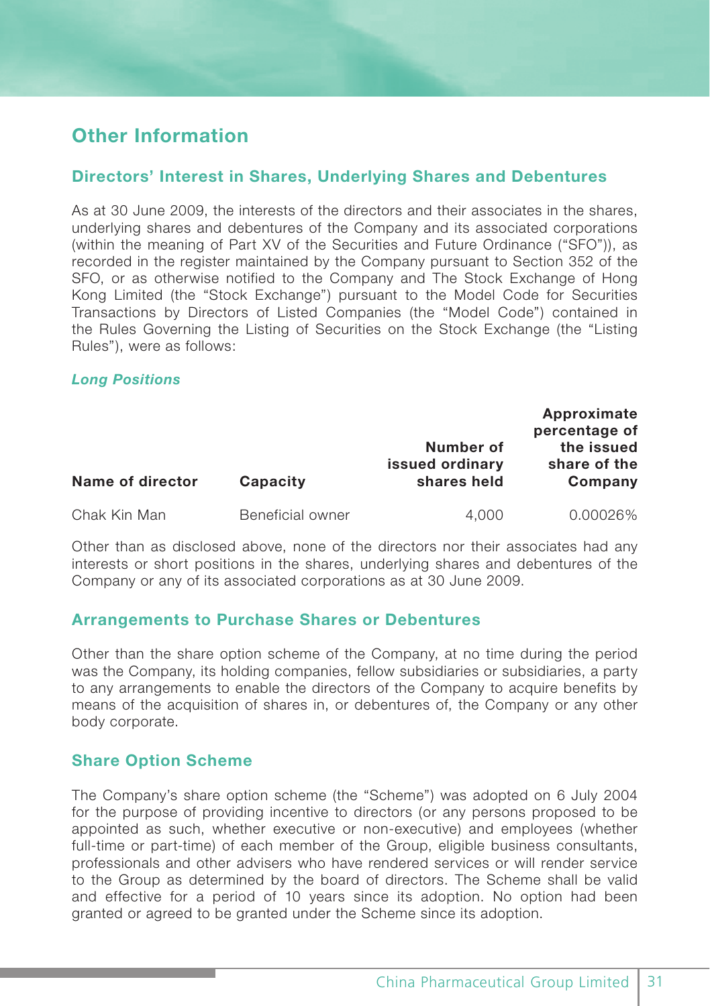# **Other Information**

# **Directors' Interest in Shares, Underlying Shares and Debentures**

As at 30 June 2009, the interests of the directors and their associates in the shares, underlying shares and debentures of the Company and its associated corporations (within the meaning of Part XV of the Securities and Future Ordinance ("SFO")), as recorded in the register maintained by the Company pursuant to Section 352 of the SFO, or as otherwise notified to the Company and The Stock Exchange of Hong Kong Limited (the "Stock Exchange") pursuant to the Model Code for Securities Transactions by Directors of Listed Companies (the "Model Code") contained in the Rules Governing the Listing of Securities on the Stock Exchange (the "Listing Rules"), were as follows:

#### *Long Positions*

| Name of director | Capacity         | Number of<br>issued ordinary<br>shares held | Approximate<br>percentage of<br>the issued<br>share of the<br>Company |
|------------------|------------------|---------------------------------------------|-----------------------------------------------------------------------|
| Chak Kin Man     | Beneficial owner | 4.000                                       | 0.00026%                                                              |
|                  |                  |                                             |                                                                       |

Other than as disclosed above, none of the directors nor their associates had any interests or short positions in the shares, underlying shares and debentures of the Company or any of its associated corporations as at 30 June 2009.

# **Arrangements to Purchase Shares or Debentures**

Other than the share option scheme of the Company, at no time during the period was the Company, its holding companies, fellow subsidiaries or subsidiaries, a party to any arrangements to enable the directors of the Company to acquire benefits by means of the acquisition of shares in, or debentures of, the Company or any other body corporate.

# **Share Option Scheme**

The Company's share option scheme (the "Scheme") was adopted on 6 July 2004 for the purpose of providing incentive to directors (or any persons proposed to be appointed as such, whether executive or non-executive) and employees (whether full-time or part-time) of each member of the Group, eligible business consultants, professionals and other advisers who have rendered services or will render service to the Group as determined by the board of directors. The Scheme shall be valid and effective for a period of 10 years since its adoption. No option had been granted or agreed to be granted under the Scheme since its adoption.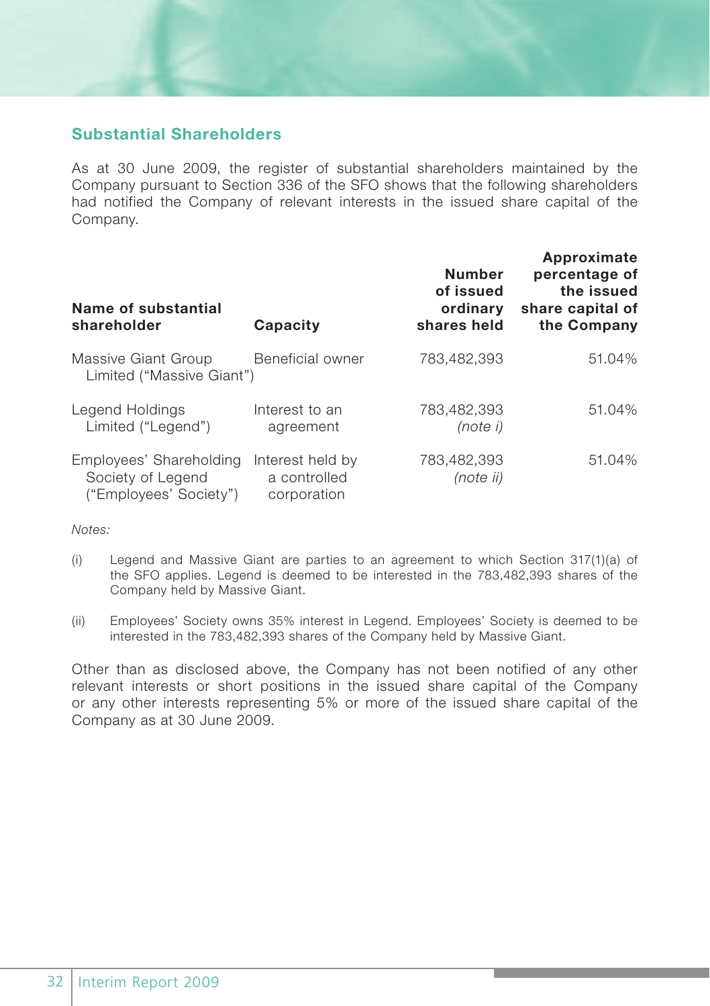# **Substantial Shareholders**

As at 30 June 2009, the register of substantial shareholders maintained by the Company pursuant to Section 336 of the SFO shows that the following shareholders had notified the Company of relevant interests in the issued share capital of the Company.

| Name of substantial<br>shareholder                                     | Capacity                                        | <b>Number</b><br>of issued<br>ordinary<br>shares held | Approximate<br>percentage of<br>the issued<br>share capital of<br>the Company |
|------------------------------------------------------------------------|-------------------------------------------------|-------------------------------------------------------|-------------------------------------------------------------------------------|
| Massive Giant Group<br>Limited ("Massive Giant")                       | Beneficial owner                                | 783.482.393                                           | 51.04%                                                                        |
| Legend Holdings<br>Limited ("Legend")                                  | Interest to an<br>agreement                     | 783.482.393<br>(note i)                               | 51.04%                                                                        |
| Employees' Shareholding<br>Society of Legend<br>("Employees' Society") | Interest held by<br>a controlled<br>corporation | 783.482.393<br>(note ii)                              | 51.04%                                                                        |

*Notes:*

- (i) Legend and Massive Giant are parties to an agreement to which Section 317(1)(a) of the SFO applies. Legend is deemed to be interested in the 783,482,393 shares of the Company held by Massive Giant.
- (ii) Employees' Society owns 35% interest in Legend. Employees' Society is deemed to be interested in the 783,482,393 shares of the Company held by Massive Giant.

Other than as disclosed above, the Company has not been notified of any other relevant interests or short positions in the issued share capital of the Company or any other interests representing 5% or more of the issued share capital of the Company as at 30 June 2009.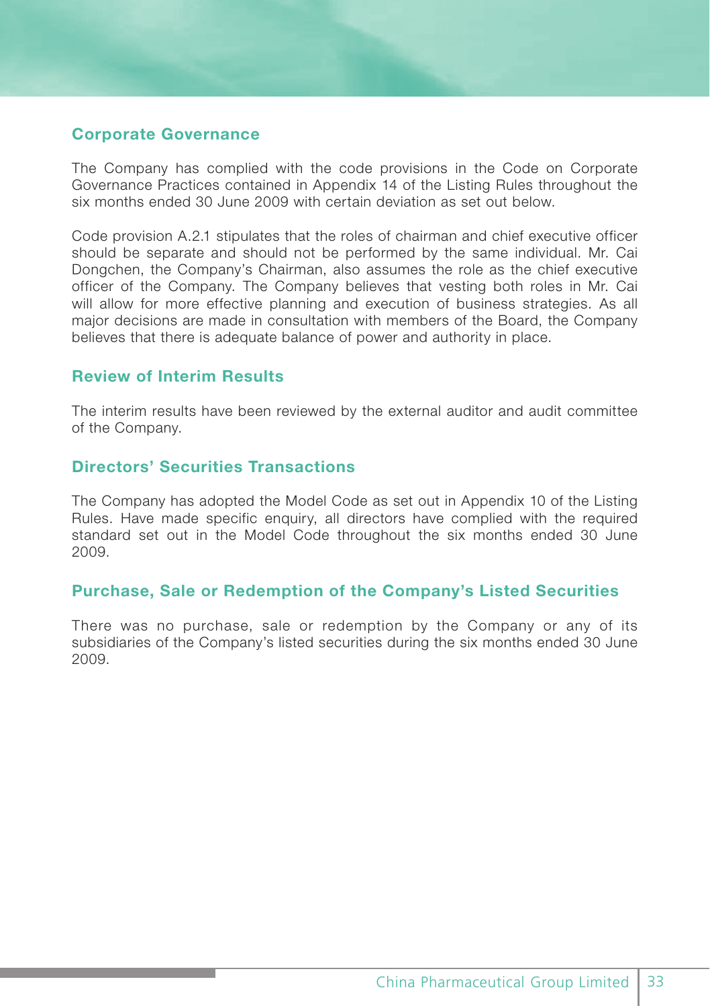# **Corporate Governance**

The Company has complied with the code provisions in the Code on Corporate Governance Practices contained in Appendix 14 of the Listing Rules throughout the six months ended 30 June 2009 with certain deviation as set out below.

Code provision A.2.1 stipulates that the roles of chairman and chief executive officer should be separate and should not be performed by the same individual. Mr. Cai Dongchen, the Company's Chairman, also assumes the role as the chief executive officer of the Company. The Company believes that vesting both roles in Mr. Cai will allow for more effective planning and execution of business strategies. As all major decisions are made in consultation with members of the Board, the Company believes that there is adequate balance of power and authority in place.

# **Review of Interim Results**

The interim results have been reviewed by the external auditor and audit committee of the Company.

# **Directors' Securities Transactions**

The Company has adopted the Model Code as set out in Appendix 10 of the Listing Rules. Have made specific enquiry, all directors have complied with the required standard set out in the Model Code throughout the six months ended 30 June 2009.

## **Purchase, Sale or Redemption of the Company's Listed Securities**

There was no purchase, sale or redemption by the Company or any of its subsidiaries of the Company's listed securities during the six months ended 30 June 2009.